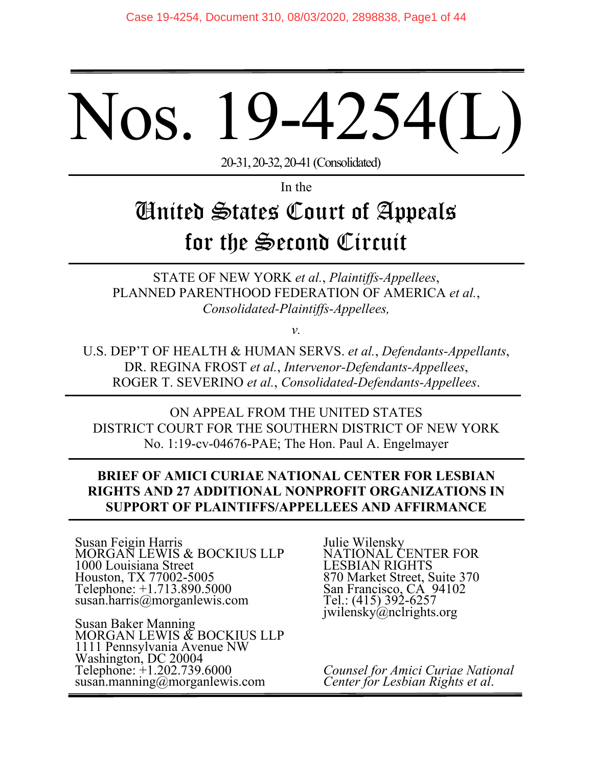# Nos. 19-4254

20-31, 20-32, 20-41 (Consolidated)

In the

# United States Court of Appeals for the Second Circuit

STATE OF NEW YORK *et al.*, *Plaintiffs-Appellees*, PLANNED PARENTHOOD FEDERATION OF AMERICA *et al.*, *Consolidated-Plaintiffs-Appellees,*

*v.* 

U.S. DEP'T OF HEALTH & HUMAN SERVS. *et al.*, *Defendants-Appellants*, DR. REGINA FROST *et al.*, *Intervenor-Defendants-Appellees*, ROGER T. SEVERINO *et al.*, *Consolidated-Defendants-Appellees*.

ON APPEAL FROM THE UNITED STATES DISTRICT COURT FOR THE SOUTHERN DISTRICT OF NEW YORK No. 1:19-cv-04676-PAE; The Hon. Paul A. Engelmayer

# **BRIEF OF AMICI CURIAE NATIONAL CENTER FOR LESBIAN RIGHTS AND 27 ADDITIONAL NONPROFIT ORGANIZATIONS IN SUPPORT OF PLAINTIFFS/APPELLEES AND AFFIRMANCE**

Susan Feigin Harris MORGAN LEWIS & BOCKIUS LLP 1000 Louisiana Street Houston, TX 77002-5005 Telephone: +1.713.890.5000 susan.harris@morganlewis.com

Susan Baker Manning MORGAN LEWIS  $\mathfrak K$  BOCKIUS LLP 1111 Pennsylvania Avenue NW Washington, DC 20004 Telephone: +1.202.739.6000 susan.manning@morganlewis.com

Julie Wilensky NATIONAL CENTER FOR LESBIAN RIGHTS 870 Market Street, Suite 370 San Francisco, CÁ 94102 Tel.: (415) 392-6257 jwilensky@nclrights.org

*Counsel for Amici Curiae National Center for Lesbian Rights et al*.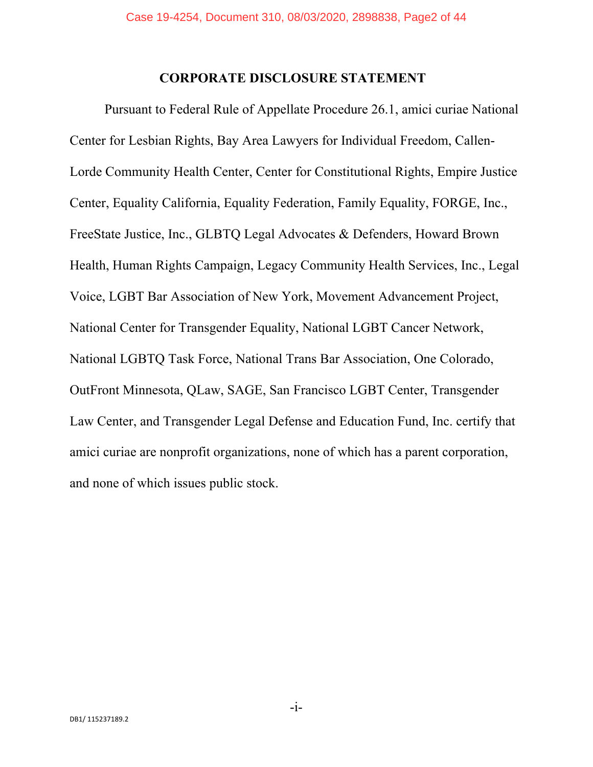#### **CORPORATE DISCLOSURE STATEMENT**

Pursuant to Federal Rule of Appellate Procedure 26.1, amici curiae National Center for Lesbian Rights, Bay Area Lawyers for Individual Freedom, Callen-Lorde Community Health Center, Center for Constitutional Rights, Empire Justice Center, Equality California, Equality Federation, Family Equality, FORGE, Inc., FreeState Justice, Inc., GLBTQ Legal Advocates & Defenders, Howard Brown Health, Human Rights Campaign, Legacy Community Health Services, Inc., Legal Voice, LGBT Bar Association of New York, Movement Advancement Project, National Center for Transgender Equality, National LGBT Cancer Network, National LGBTQ Task Force, National Trans Bar Association, One Colorado, OutFront Minnesota, QLaw, SAGE, San Francisco LGBT Center, Transgender Law Center, and Transgender Legal Defense and Education Fund, Inc. certify that amici curiae are nonprofit organizations, none of which has a parent corporation, and none of which issues public stock.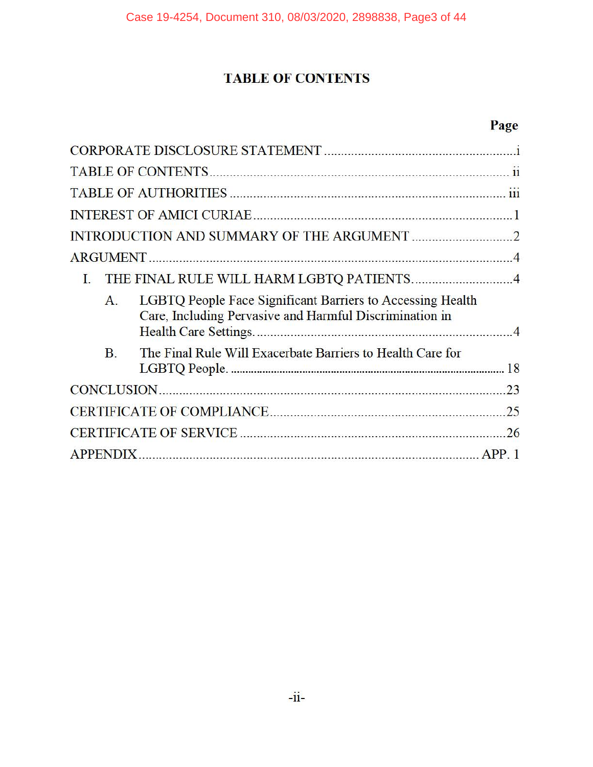# **TABLE OF CONTENTS**

# **Page**

| L                                                                                                                                       |    |
|-----------------------------------------------------------------------------------------------------------------------------------------|----|
| LGBTQ People Face Significant Barriers to Accessing Health<br>$\mathbf{A}$ .<br>Care, Including Pervasive and Harmful Discrimination in |    |
| The Final Rule Will Exacerbate Barriers to Health Care for<br><b>B</b> .                                                                |    |
|                                                                                                                                         | 23 |
|                                                                                                                                         |    |
|                                                                                                                                         |    |
| <b>APPENDIX.</b>                                                                                                                        |    |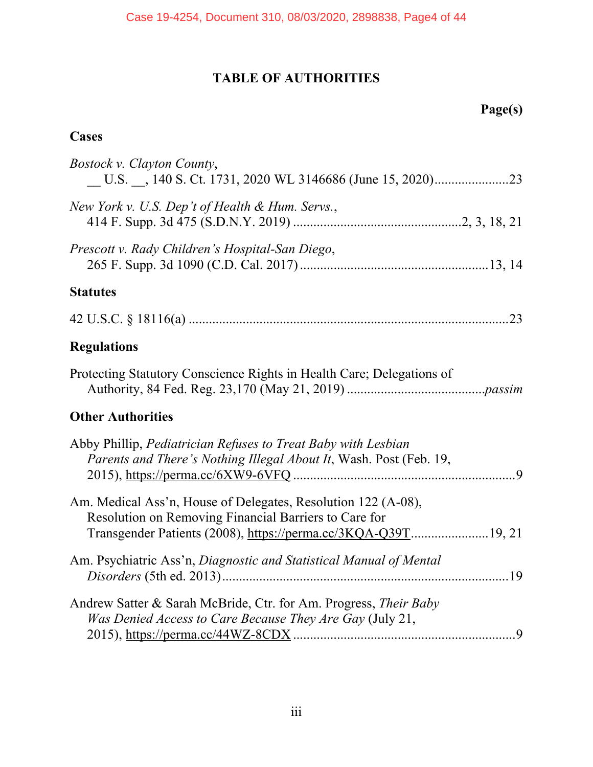# **TABLE OF AUTHORITIES**

# **Cases**

| <b>Bostock v. Clayton County,</b>                                                                                                                                                       |
|-----------------------------------------------------------------------------------------------------------------------------------------------------------------------------------------|
| New York v. U.S. Dep't of Health & Hum. Servs.,                                                                                                                                         |
| Prescott v. Rady Children's Hospital-San Diego,                                                                                                                                         |
| <b>Statutes</b>                                                                                                                                                                         |
|                                                                                                                                                                                         |
| <b>Regulations</b>                                                                                                                                                                      |
| Protecting Statutory Conscience Rights in Health Care; Delegations of                                                                                                                   |
| <b>Other Authorities</b>                                                                                                                                                                |
| Abby Phillip, Pediatrician Refuses to Treat Baby with Lesbian<br>Parents and There's Nothing Illegal About It, Wash. Post (Feb. 19,                                                     |
| Am. Medical Ass'n, House of Delegates, Resolution 122 (A-08),<br>Resolution on Removing Financial Barriers to Care for<br>Transgender Patients (2008), https://perma.cc/3KQA-Q39T19, 21 |
| Am. Psychiatric Ass'n, Diagnostic and Statistical Manual of Mental                                                                                                                      |
| Andrew Satter & Sarah McBride, Ctr. for Am. Progress, Their Baby<br>Was Denied Access to Care Because They Are Gay (July 21,                                                            |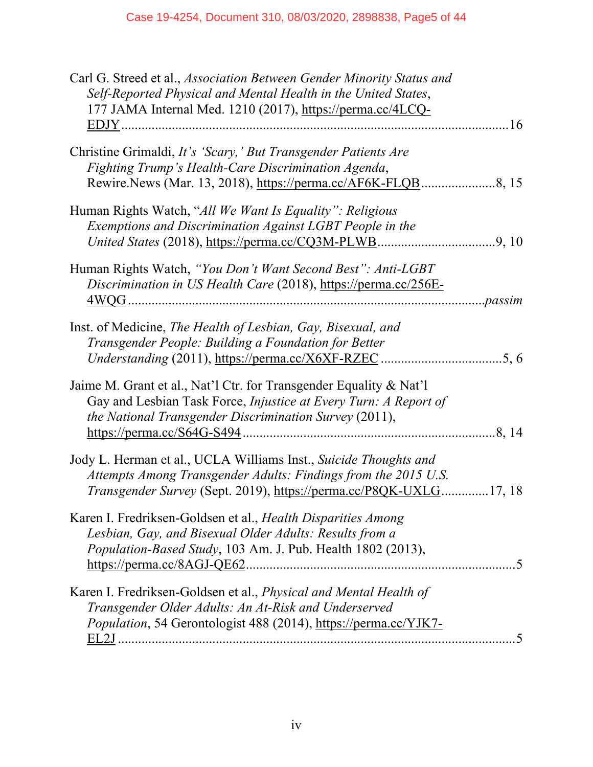| Carl G. Streed et al., Association Between Gender Minority Status and<br>Self-Reported Physical and Mental Health in the United States,<br>177 JAMA Internal Med. 1210 (2017), https://perma.cc/4LCQ-                                  |  |
|----------------------------------------------------------------------------------------------------------------------------------------------------------------------------------------------------------------------------------------|--|
| Christine Grimaldi, It's 'Scary,' But Transgender Patients Are<br>Fighting Trump's Health-Care Discrimination Agenda,                                                                                                                  |  |
| Human Rights Watch, "All We Want Is Equality": Religious<br>Exemptions and Discrimination Against LGBT People in the                                                                                                                   |  |
| Human Rights Watch, "You Don't Want Second Best": Anti-LGBT<br>Discrimination in US Health Care (2018), https://perma.cc/256E-                                                                                                         |  |
| Inst. of Medicine, The Health of Lesbian, Gay, Bisexual, and<br>Transgender People: Building a Foundation for Better                                                                                                                   |  |
| Jaime M. Grant et al., Nat'l Ctr. for Transgender Equality & Nat'l<br>Gay and Lesbian Task Force, Injustice at Every Turn: A Report of<br>the National Transgender Discrimination Survey (2011),                                       |  |
| Jody L. Herman et al., UCLA Williams Inst., Suicide Thoughts and<br>Attempts Among Transgender Adults: Findings from the 2015 U.S.<br>Transgender Survey (Sept. 2019), https://perma.cc/P8QK-UXLG17, 18                                |  |
| Karen I. Fredriksen-Goldsen et al., Health Disparities Among<br>Lesbian, Gay, and Bisexual Older Adults: Results from a<br>Population-Based Study, 103 Am. J. Pub. Health 1802 (2013),<br>$\frac{\text{https://permacc/8AGJ-QE62}}{5}$ |  |
| Karen I. Fredriksen-Goldsen et al., Physical and Mental Health of<br>Transgender Older Adults: An At-Risk and Underserved<br>Population, 54 Gerontologist 488 (2014), https://perma.cc/YJK7-                                           |  |
|                                                                                                                                                                                                                                        |  |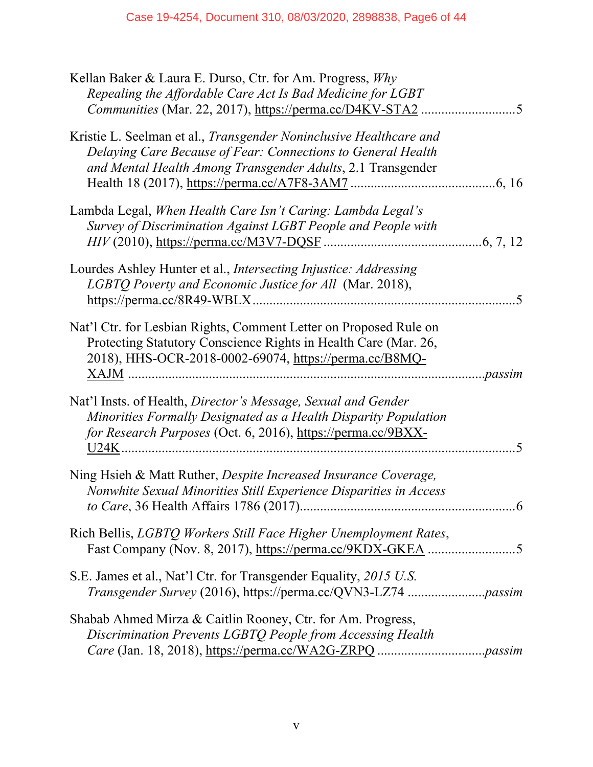| Kellan Baker & Laura E. Durso, Ctr. for Am. Progress, Why<br>Repealing the Affordable Care Act Is Bad Medicine for LGBT<br>Communities (Mar. 22, 2017), https://perma.cc/D4KV-STA2<br>5                            |
|--------------------------------------------------------------------------------------------------------------------------------------------------------------------------------------------------------------------|
| Kristie L. Seelman et al., <i>Transgender Noninclusive Healthcare and</i><br>Delaying Care Because of Fear: Connections to General Health<br>and Mental Health Among Transgender Adults, 2.1 Transgender           |
| Lambda Legal, When Health Care Isn't Caring: Lambda Legal's<br>Survey of Discrimination Against LGBT People and People with                                                                                        |
| Lourdes Ashley Hunter et al., Intersecting Injustice: Addressing<br>LGBTQ Poverty and Economic Justice for All (Mar. 2018),                                                                                        |
| Nat'l Ctr. for Lesbian Rights, Comment Letter on Proposed Rule on<br>Protecting Statutory Conscience Rights in Health Care (Mar. 26,<br>2018), HHS-OCR-2018-0002-69074, https://perma.cc/B8MQ-                     |
| Nat'l Insts. of Health, Director's Message, Sexual and Gender<br>Minorities Formally Designated as a Health Disparity Population<br>for Research Purposes (Oct. 6, 2016), https://perma.cc/9BXX-<br>$\overline{5}$ |
| Ning Hsieh & Matt Ruther, Despite Increased Insurance Coverage,<br>Nonwhite Sexual Minorities Still Experience Disparities in Access<br>$.6\,$                                                                     |
| Rich Bellis, LGBTQ Workers Still Face Higher Unemployment Rates,                                                                                                                                                   |
| S.E. James et al., Nat'l Ctr. for Transgender Equality, 2015 U.S.                                                                                                                                                  |
| Shabab Ahmed Mirza & Caitlin Rooney, Ctr. for Am. Progress,<br>Discrimination Prevents LGBTQ People from Accessing Health                                                                                          |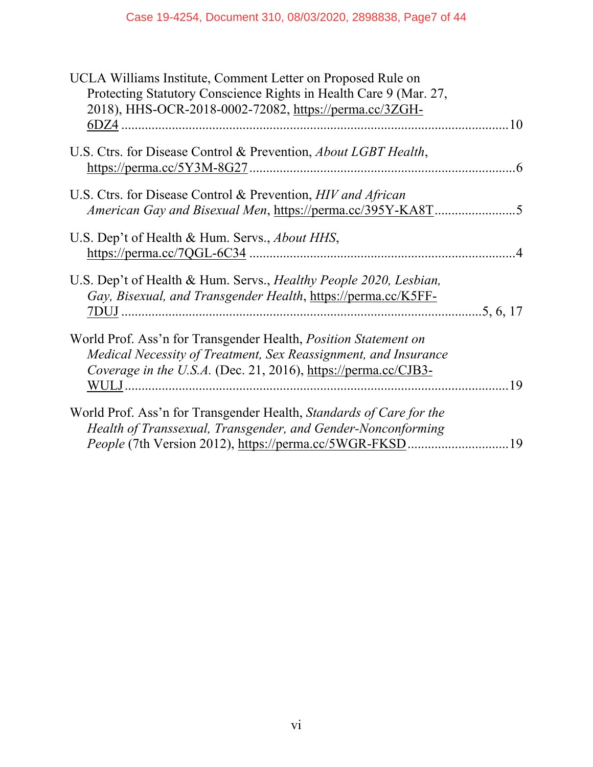| UCLA Williams Institute, Comment Letter on Proposed Rule on                       |  |
|-----------------------------------------------------------------------------------|--|
| Protecting Statutory Conscience Rights in Health Care 9 (Mar. 27,                 |  |
| 2018), HHS-OCR-2018-0002-72082, https://perma.cc/3ZGH-                            |  |
|                                                                                   |  |
|                                                                                   |  |
| U.S. Ctrs. for Disease Control & Prevention, <i>About LGBT Health</i> ,           |  |
|                                                                                   |  |
| U.S. Ctrs. for Disease Control & Prevention, HIV and African                      |  |
|                                                                                   |  |
|                                                                                   |  |
| U.S. Dep't of Health & Hum. Servs., <i>About HHS</i> ,                            |  |
|                                                                                   |  |
|                                                                                   |  |
| U.S. Dep't of Health & Hum. Servs., <i>Healthy People 2020</i> , <i>Lesbian</i> , |  |
| Gay, Bisexual, and Transgender Health, https://perma.cc/K5FF-                     |  |
|                                                                                   |  |
|                                                                                   |  |
| World Prof. Ass'n for Transgender Health, <i>Position Statement on</i>            |  |
| Medical Necessity of Treatment, Sex Reassignment, and Insurance                   |  |
| Coverage in the U.S.A. (Dec. 21, 2016), https://perma.cc/CJB3-                    |  |
|                                                                                   |  |
| World Prof. Ass'n for Transgender Health, Standards of Care for the               |  |
|                                                                                   |  |
| Health of Transsexual, Transgender, and Gender-Nonconforming                      |  |
|                                                                                   |  |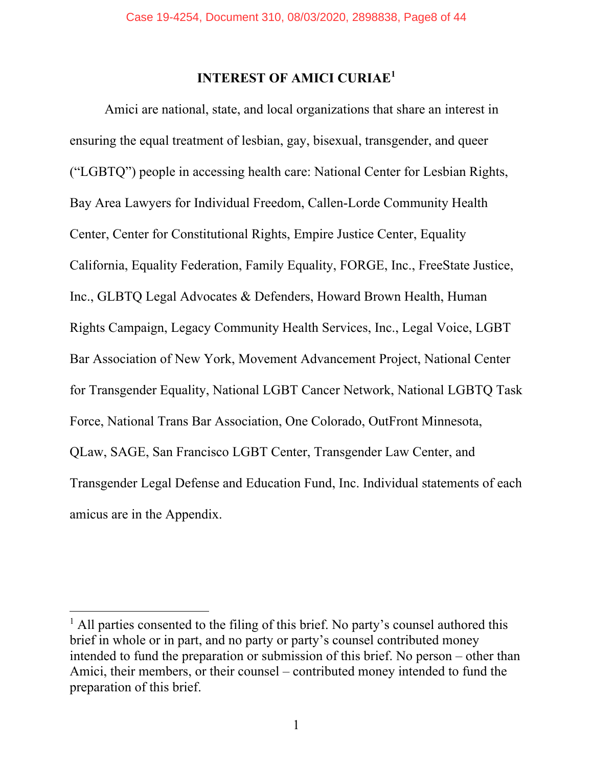# **INTEREST OF AMICI CURIAE<sup>1</sup>**

Amici are national, state, and local organizations that share an interest in ensuring the equal treatment of lesbian, gay, bisexual, transgender, and queer ("LGBTQ") people in accessing health care: National Center for Lesbian Rights, Bay Area Lawyers for Individual Freedom, Callen-Lorde Community Health Center, Center for Constitutional Rights, Empire Justice Center, Equality California, Equality Federation, Family Equality, FORGE, Inc., FreeState Justice, Inc., GLBTQ Legal Advocates & Defenders, Howard Brown Health, Human Rights Campaign, Legacy Community Health Services, Inc., Legal Voice, LGBT Bar Association of New York, Movement Advancement Project, National Center for Transgender Equality, National LGBT Cancer Network, National LGBTQ Task Force, National Trans Bar Association, One Colorado, OutFront Minnesota, QLaw, SAGE, San Francisco LGBT Center, Transgender Law Center, and Transgender Legal Defense and Education Fund, Inc. Individual statements of each amicus are in the Appendix.

<sup>&</sup>lt;sup>1</sup> All parties consented to the filing of this brief. No party's counsel authored this brief in whole or in part, and no party or party's counsel contributed money intended to fund the preparation or submission of this brief. No person – other than Amici, their members, or their counsel – contributed money intended to fund the preparation of this brief.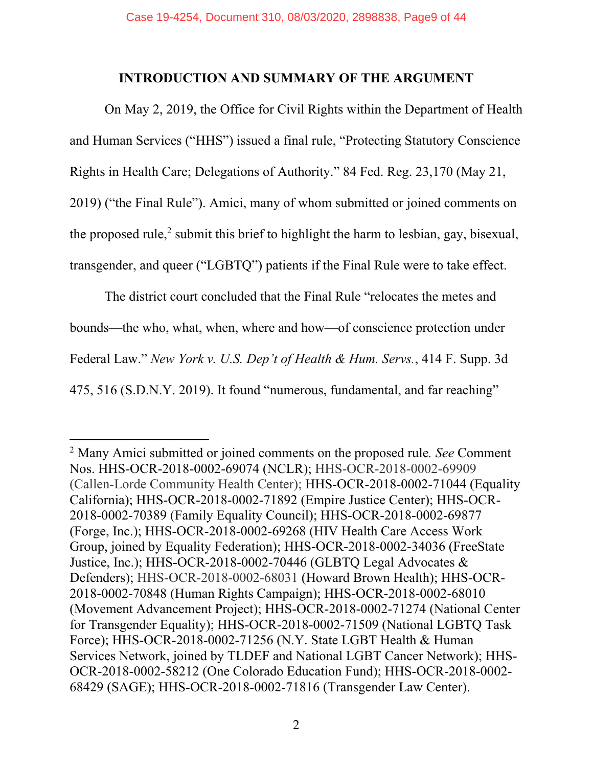#### **INTRODUCTION AND SUMMARY OF THE ARGUMENT**

On May 2, 2019, the Office for Civil Rights within the Department of Health and Human Services ("HHS") issued a final rule, "Protecting Statutory Conscience Rights in Health Care; Delegations of Authority." 84 Fed. Reg. 23,170 (May 21, 2019) ("the Final Rule"). Amici, many of whom submitted or joined comments on

the proposed rule, $^2$  submit this brief to highlight the harm to lesbian, gay, bisexual,

transgender, and queer ("LGBTQ") patients if the Final Rule were to take effect.

The district court concluded that the Final Rule "relocates the metes and bounds—the who, what, when, where and how—of conscience protection under Federal Law." *New York v. U.S. Dep't of Health & Hum. Servs.*, 414 F. Supp. 3d 475, 516 (S.D.N.Y. 2019). It found "numerous, fundamental, and far reaching"

<sup>2</sup> Many Amici submitted or joined comments on the proposed rule*. See* Comment Nos. HHS-OCR-2018-0002-69074 (NCLR); HHS-OCR-2018-0002-69909 (Callen-Lorde Community Health Center); HHS-OCR-2018-0002-71044 (Equality California); HHS-OCR-2018-0002-71892 (Empire Justice Center); HHS-OCR-2018-0002-70389 (Family Equality Council); HHS-OCR-2018-0002-69877 (Forge, Inc.); HHS-OCR-2018-0002-69268 (HIV Health Care Access Work Group, joined by Equality Federation); HHS-OCR-2018-0002-34036 (FreeState Justice, Inc.); HHS-OCR-2018-0002-70446 (GLBTQ Legal Advocates & Defenders); HHS-OCR-2018-0002-68031 (Howard Brown Health); HHS-OCR-2018-0002-70848 (Human Rights Campaign); HHS-OCR-2018-0002-68010 (Movement Advancement Project); HHS-OCR-2018-0002-71274 (National Center for Transgender Equality); HHS-OCR-2018-0002-71509 (National LGBTQ Task Force); HHS-OCR-2018-0002-71256 (N.Y. State LGBT Health & Human Services Network, joined by TLDEF and National LGBT Cancer Network); HHS-OCR-2018-0002-58212 (One Colorado Education Fund); HHS-OCR-2018-0002- 68429 (SAGE); HHS-OCR-2018-0002-71816 (Transgender Law Center).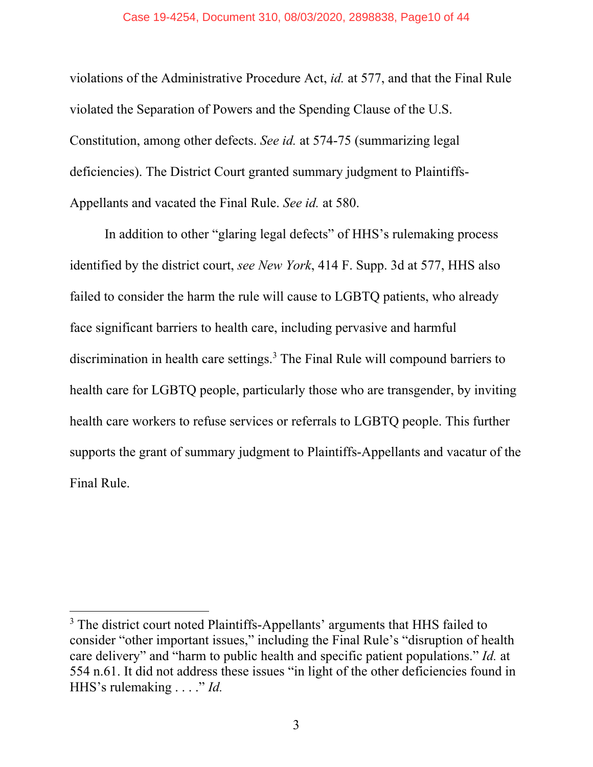#### Case 19-4254, Document 310, 08/03/2020, 2898838, Page10 of 44

violations of the Administrative Procedure Act, *id.* at 577, and that the Final Rule violated the Separation of Powers and the Spending Clause of the U.S. Constitution, among other defects. *See id.* at 574-75 (summarizing legal deficiencies). The District Court granted summary judgment to Plaintiffs-Appellants and vacated the Final Rule. *See id.* at 580.

In addition to other "glaring legal defects" of HHS's rulemaking process identified by the district court, *see New York*, 414 F. Supp. 3d at 577, HHS also failed to consider the harm the rule will cause to LGBTQ patients, who already face significant barriers to health care, including pervasive and harmful discrimination in health care settings.<sup>3</sup> The Final Rule will compound barriers to health care for LGBTQ people, particularly those who are transgender, by inviting health care workers to refuse services or referrals to LGBTQ people. This further supports the grant of summary judgment to Plaintiffs-Appellants and vacatur of the Final Rule.

<sup>&</sup>lt;sup>3</sup> The district court noted Plaintiffs-Appellants' arguments that HHS failed to consider "other important issues," including the Final Rule's "disruption of health care delivery" and "harm to public health and specific patient populations." *Id.* at 554 n.61. It did not address these issues "in light of the other deficiencies found in HHS's rulemaking . . . ." *Id.*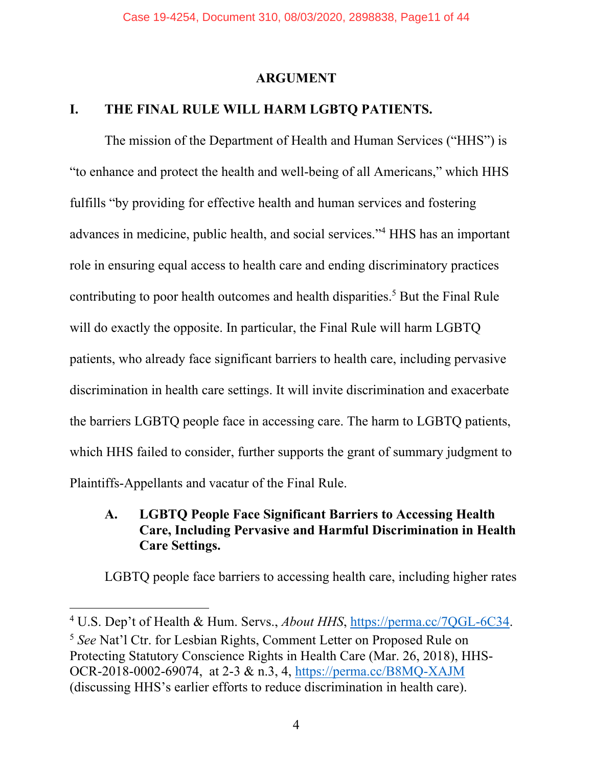#### **ARGUMENT**

#### **I. THE FINAL RULE WILL HARM LGBTQ PATIENTS.**

The mission of the Department of Health and Human Services ("HHS") is "to enhance and protect the health and well-being of all Americans," which HHS fulfills "by providing for effective health and human services and fostering advances in medicine, public health, and social services."4 HHS has an important role in ensuring equal access to health care and ending discriminatory practices contributing to poor health outcomes and health disparities.<sup>5</sup> But the Final Rule will do exactly the opposite. In particular, the Final Rule will harm LGBTQ patients, who already face significant barriers to health care, including pervasive discrimination in health care settings. It will invite discrimination and exacerbate the barriers LGBTQ people face in accessing care. The harm to LGBTQ patients, which HHS failed to consider, further supports the grant of summary judgment to Plaintiffs-Appellants and vacatur of the Final Rule.

## **A. LGBTQ People Face Significant Barriers to Accessing Health Care, Including Pervasive and Harmful Discrimination in Health Care Settings.**

LGBTQ people face barriers to accessing health care, including higher rates

<sup>&</sup>lt;sup>4</sup> U.S. Dep't of Health & Hum. Servs., *About HHS*, https://perma.cc/7QGL-6C34.

<sup>5</sup> *See* Nat'l Ctr. for Lesbian Rights, Comment Letter on Proposed Rule on Protecting Statutory Conscience Rights in Health Care (Mar. 26, 2018), HHS-OCR-2018-0002-69074, at 2-3 & n.3, 4, https://perma.cc/B8MQ-XAJM (discussing HHS's earlier efforts to reduce discrimination in health care).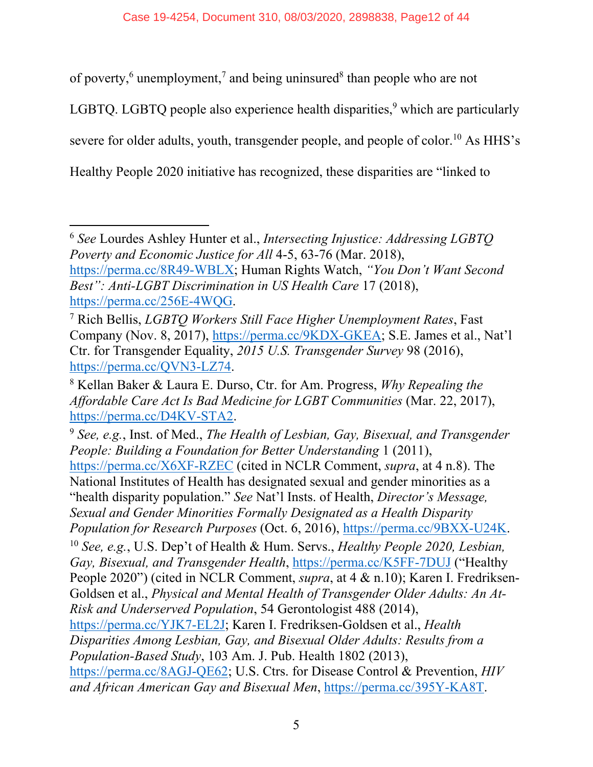of poverty,<sup>6</sup> unemployment,<sup>7</sup> and being uninsured<sup>8</sup> than people who are not LGBTQ. LGBTQ people also experience health disparities,  $9$  which are particularly severe for older adults, youth, transgender people, and people of color.<sup>10</sup> As HHS's Healthy People 2020 initiative has recognized, these disparities are "linked to

<sup>9</sup> *See, e.g.*, Inst. of Med., *The Health of Lesbian, Gay, Bisexual, and Transgender People: Building a Foundation for Better Understanding* 1 (2011), https://perma.cc/X6XF-RZEC (cited in NCLR Comment, *supra*, at 4 n.8). The National Institutes of Health has designated sexual and gender minorities as a "health disparity population." *See* Nat'l Insts. of Health, *Director's Message, Sexual and Gender Minorities Formally Designated as a Health Disparity Population for Research Purposes* (Oct. 6, 2016), https://perma.cc/9BXX-U24K. <sup>10</sup> *See, e.g.*, U.S. Dep't of Health & Hum. Servs., *Healthy People 2020, Lesbian, Gay, Bisexual, and Transgender Health*, https://perma.cc/K5FF-7DUJ ("Healthy People 2020") (cited in NCLR Comment, *supra*, at 4 & n.10); Karen I. Fredriksen-Goldsen et al., *Physical and Mental Health of Transgender Older Adults: An At-Risk and Underserved Population*, 54 Gerontologist 488 (2014), https://perma.cc/YJK7-EL2J; Karen I. Fredriksen-Goldsen et al., *Health Disparities Among Lesbian, Gay, and Bisexual Older Adults: Results from a Population-Based Study*, 103 Am. J. Pub. Health 1802 (2013), https://perma.cc/8AGJ-QE62; U.S. Ctrs. for Disease Control & Prevention, *HIV and African American Gay and Bisexual Men*, https://perma.cc/395Y-KA8T.

<sup>6</sup> *See* Lourdes Ashley Hunter et al., *Intersecting Injustice: Addressing LGBTQ Poverty and Economic Justice for All* 4-5, 63-76 (Mar. 2018), https://perma.cc/8R49-WBLX; Human Rights Watch, *"You Don't Want Second Best": Anti-LGBT Discrimination in US Health Care* 17 (2018), https://perma.cc/256E-4WQG.

<sup>7</sup> Rich Bellis, *LGBTQ Workers Still Face Higher Unemployment Rates*, Fast Company (Nov. 8, 2017), https://perma.cc/9KDX-GKEA; S.E. James et al., Nat'l Ctr. for Transgender Equality, *2015 U.S. Transgender Survey* 98 (2016), https://perma.cc/QVN3-LZ74.

<sup>8</sup> Kellan Baker & Laura E. Durso, Ctr. for Am. Progress, *Why Repealing the Affordable Care Act Is Bad Medicine for LGBT Communities* (Mar. 22, 2017), https://perma.cc/D4KV-STA2.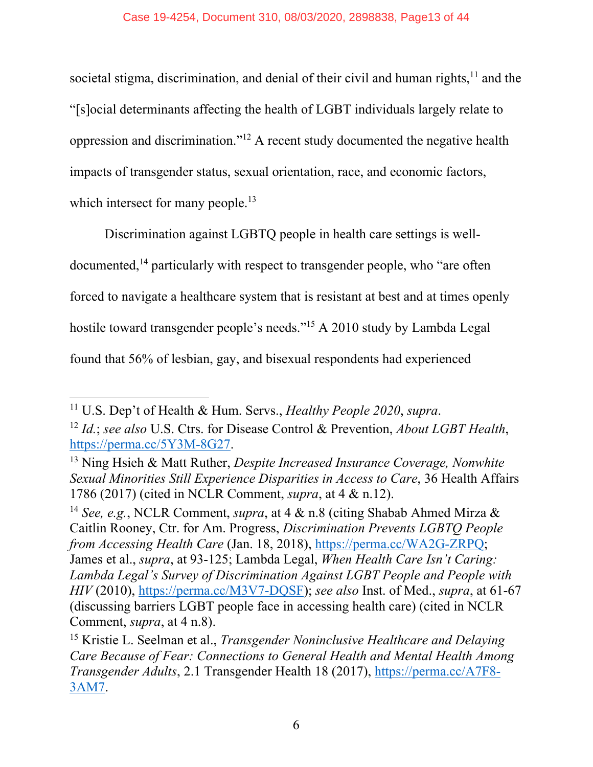societal stigma, discrimination, and denial of their civil and human rights, $11$  and the "[s]ocial determinants affecting the health of LGBT individuals largely relate to oppression and discrimination."12 A recent study documented the negative health impacts of transgender status, sexual orientation, race, and economic factors, which intersect for many people.<sup>13</sup>

Discrimination against LGBTQ people in health care settings is welldocumented,<sup>14</sup> particularly with respect to transgender people, who "are often forced to navigate a healthcare system that is resistant at best and at times openly hostile toward transgender people's needs."15 A 2010 study by Lambda Legal found that 56% of lesbian, gay, and bisexual respondents had experienced

<sup>11</sup> U.S. Dep't of Health & Hum. Servs., *Healthy People 2020*, *supra*.

<sup>12</sup> *Id.*; *see also* U.S. Ctrs. for Disease Control & Prevention, *About LGBT Health*, https://perma.cc/5Y3M-8G27.

<sup>13</sup> Ning Hsieh & Matt Ruther, *Despite Increased Insurance Coverage, Nonwhite Sexual Minorities Still Experience Disparities in Access to Care*, 36 Health Affairs 1786 (2017) (cited in NCLR Comment, *supra*, at 4 & n.12).

<sup>14</sup> *See, e.g.*, NCLR Comment, *supra*, at 4 & n.8 (citing Shabab Ahmed Mirza & Caitlin Rooney, Ctr. for Am. Progress, *Discrimination Prevents LGBTQ People from Accessing Health Care* (Jan. 18, 2018), https://perma.cc/WA2G-ZRPQ; James et al., *supra*, at 93-125; Lambda Legal, *When Health Care Isn't Caring: Lambda Legal's Survey of Discrimination Against LGBT People and People with HIV* (2010), https://perma.cc/M3V7-DQSF); *see also* Inst. of Med., *supra*, at 61-67 (discussing barriers LGBT people face in accessing health care) (cited in NCLR Comment, *supra*, at 4 n.8).

<sup>15</sup> Kristie L. Seelman et al., *Transgender Noninclusive Healthcare and Delaying Care Because of Fear: Connections to General Health and Mental Health Among Transgender Adults*, 2.1 Transgender Health 18 (2017), https://perma.cc/A7F8- 3AM7.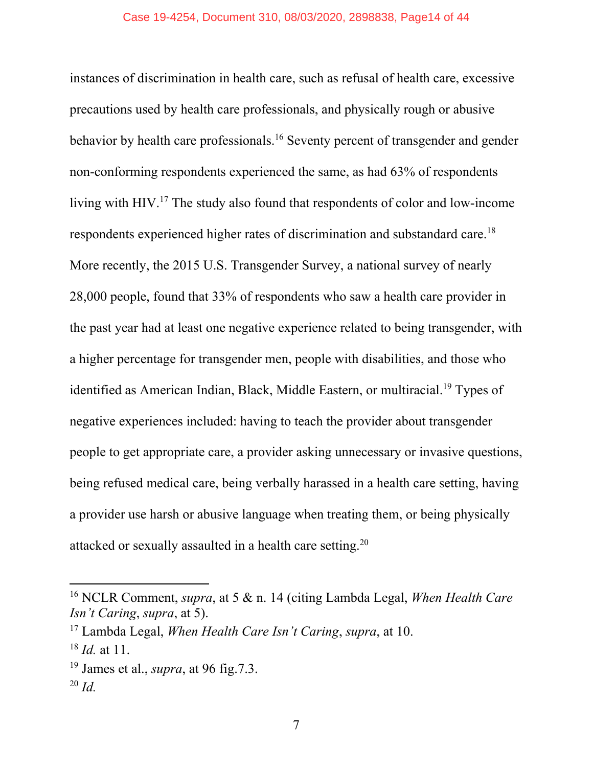instances of discrimination in health care, such as refusal of health care, excessive precautions used by health care professionals, and physically rough or abusive behavior by health care professionals.<sup>16</sup> Seventy percent of transgender and gender non-conforming respondents experienced the same, as had 63% of respondents living with HIV.17 The study also found that respondents of color and low-income respondents experienced higher rates of discrimination and substandard care.18 More recently, the 2015 U.S. Transgender Survey, a national survey of nearly 28,000 people, found that 33% of respondents who saw a health care provider in the past year had at least one negative experience related to being transgender, with a higher percentage for transgender men, people with disabilities, and those who identified as American Indian, Black, Middle Eastern, or multiracial.<sup>19</sup> Types of negative experiences included: having to teach the provider about transgender people to get appropriate care, a provider asking unnecessary or invasive questions, being refused medical care, being verbally harassed in a health care setting, having a provider use harsh or abusive language when treating them, or being physically attacked or sexually assaulted in a health care setting.20

<sup>16</sup> NCLR Comment, *supra*, at 5 & n. 14 (citing Lambda Legal, *When Health Care Isn't Caring*, *supra*, at 5).

<sup>17</sup> Lambda Legal, *When Health Care Isn't Caring*, *supra*, at 10.

<sup>18</sup> *Id.* at 11.

<sup>19</sup> James et al., *supra*, at 96 fig.7.3.

<sup>20</sup> *Id.*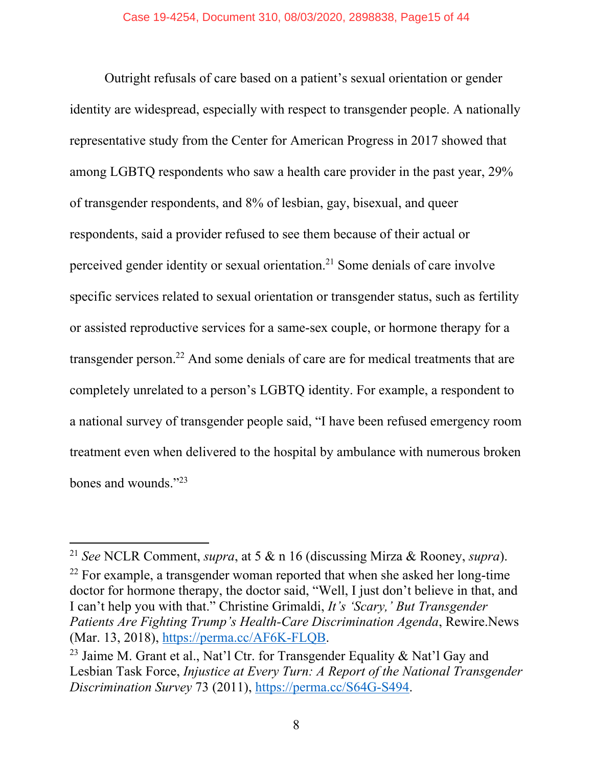Outright refusals of care based on a patient's sexual orientation or gender identity are widespread, especially with respect to transgender people. A nationally representative study from the Center for American Progress in 2017 showed that among LGBTQ respondents who saw a health care provider in the past year, 29% of transgender respondents, and 8% of lesbian, gay, bisexual, and queer respondents, said a provider refused to see them because of their actual or perceived gender identity or sexual orientation.21 Some denials of care involve specific services related to sexual orientation or transgender status, such as fertility or assisted reproductive services for a same-sex couple, or hormone therapy for a transgender person.22 And some denials of care are for medical treatments that are completely unrelated to a person's LGBTQ identity. For example, a respondent to a national survey of transgender people said, "I have been refused emergency room treatment even when delivered to the hospital by ambulance with numerous broken bones and wounds."23

<sup>22</sup> For example, a transgender woman reported that when she asked her long-time doctor for hormone therapy, the doctor said, "Well, I just don't believe in that, and I can't help you with that." Christine Grimaldi, *It's 'Scary,' But Transgender Patients Are Fighting Trump's Health-Care Discrimination Agenda*, Rewire.News (Mar. 13, 2018), https://perma.cc/AF6K-FLQB.

<sup>21</sup> *See* NCLR Comment, *supra*, at 5 & n 16 (discussing Mirza & Rooney, *supra*).

<sup>&</sup>lt;sup>23</sup> Jaime M. Grant et al., Nat'l Ctr. for Transgender Equality & Nat'l Gay and Lesbian Task Force, *Injustice at Every Turn: A Report of the National Transgender Discrimination Survey* 73 (2011), https://perma.cc/S64G-S494.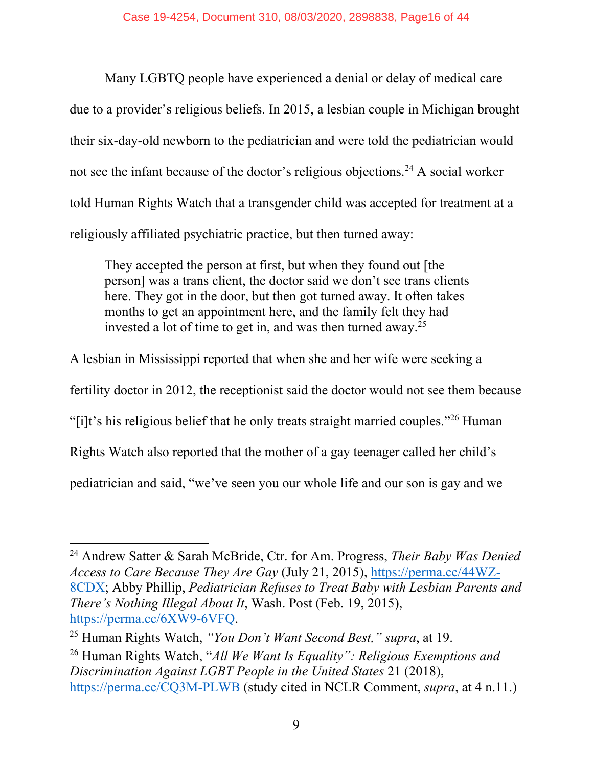Many LGBTQ people have experienced a denial or delay of medical care due to a provider's religious beliefs. In 2015, a lesbian couple in Michigan brought their six-day-old newborn to the pediatrician and were told the pediatrician would not see the infant because of the doctor's religious objections.<sup>24</sup> A social worker told Human Rights Watch that a transgender child was accepted for treatment at a religiously affiliated psychiatric practice, but then turned away:

They accepted the person at first, but when they found out [the person] was a trans client, the doctor said we don't see trans clients here. They got in the door, but then got turned away. It often takes months to get an appointment here, and the family felt they had invested a lot of time to get in, and was then turned away.25

A lesbian in Mississippi reported that when she and her wife were seeking a

fertility doctor in 2012, the receptionist said the doctor would not see them because

"[i]t's his religious belief that he only treats straight married couples."26 Human

Rights Watch also reported that the mother of a gay teenager called her child's

pediatrician and said, "we've seen you our whole life and our son is gay and we

<sup>24</sup> Andrew Satter & Sarah McBride, Ctr. for Am. Progress, *Their Baby Was Denied Access to Care Because They Are Gay* (July 21, 2015), https://perma.cc/44WZ-8CDX; Abby Phillip, *Pediatrician Refuses to Treat Baby with Lesbian Parents and There's Nothing Illegal About It*, Wash. Post (Feb. 19, 2015), https://perma.cc/6XW9-6VFQ.

<sup>25</sup> Human Rights Watch, *"You Don't Want Second Best," supra*, at 19.

<sup>26</sup> Human Rights Watch, "*All We Want Is Equality": Religious Exemptions and Discrimination Against LGBT People in the United States* 21 (2018), https://perma.cc/CQ3M-PLWB (study cited in NCLR Comment, *supra*, at 4 n.11.)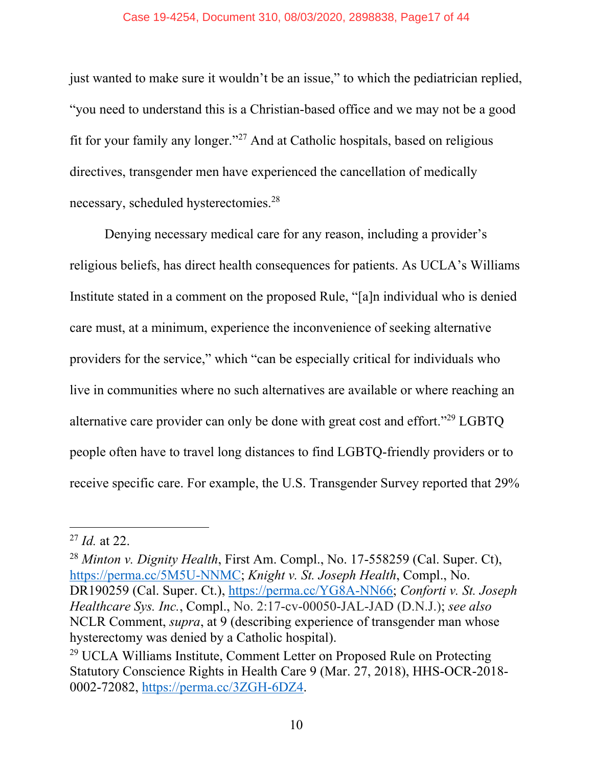#### Case 19-4254, Document 310, 08/03/2020, 2898838, Page17 of 44

just wanted to make sure it wouldn't be an issue," to which the pediatrician replied, "you need to understand this is a Christian-based office and we may not be a good fit for your family any longer."<sup>27</sup> And at Catholic hospitals, based on religious directives, transgender men have experienced the cancellation of medically necessary, scheduled hysterectomies.28

Denying necessary medical care for any reason, including a provider's religious beliefs, has direct health consequences for patients. As UCLA's Williams Institute stated in a comment on the proposed Rule, "[a]n individual who is denied care must, at a minimum, experience the inconvenience of seeking alternative providers for the service," which "can be especially critical for individuals who live in communities where no such alternatives are available or where reaching an alternative care provider can only be done with great cost and effort."29 LGBTQ people often have to travel long distances to find LGBTQ-friendly providers or to receive specific care. For example, the U.S. Transgender Survey reported that 29%

<sup>27</sup> *Id.* at 22.

<sup>28</sup> *Minton v. Dignity Health*, First Am. Compl., No. 17-558259 (Cal. Super. Ct), https://perma.cc/5M5U-NNMC; *Knight v. St. Joseph Health*, Compl., No. DR190259 (Cal. Super. Ct.), https://perma.cc/YG8A-NN66; *Conforti v. St. Joseph Healthcare Sys. Inc.*, Compl., No. 2:17-cv-00050-JAL-JAD (D.N.J.); *see also*  NCLR Comment, *supra*, at 9 (describing experience of transgender man whose hysterectomy was denied by a Catholic hospital).

<sup>29</sup> UCLA Williams Institute, Comment Letter on Proposed Rule on Protecting Statutory Conscience Rights in Health Care 9 (Mar. 27, 2018), HHS-OCR-2018- 0002-72082, https://perma.cc/3ZGH-6DZ4.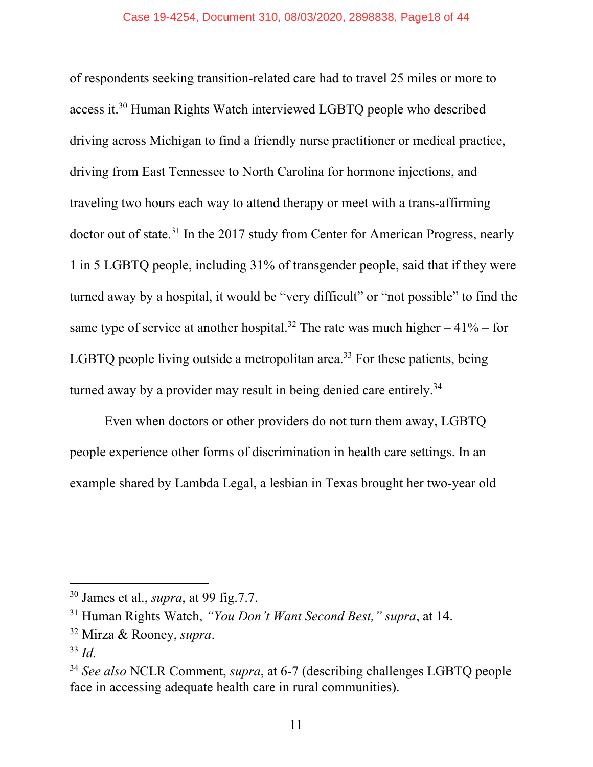of respondents seeking transition-related care had to travel 25 miles or more to access it.30 Human Rights Watch interviewed LGBTQ people who described driving across Michigan to find a friendly nurse practitioner or medical practice, driving from East Tennessee to North Carolina for hormone injections, and traveling two hours each way to attend therapy or meet with a trans-affirming doctor out of state.31 In the 2017 study from Center for American Progress, nearly 1 in 5 LGBTQ people, including 31% of transgender people, said that if they were turned away by a hospital, it would be "very difficult" or "not possible" to find the same type of service at another hospital.<sup>32</sup> The rate was much higher  $-41\%$  – for LGBTQ people living outside a metropolitan area.<sup>33</sup> For these patients, being turned away by a provider may result in being denied care entirely.<sup>34</sup>

Even when doctors or other providers do not turn them away, LGBTQ people experience other forms of discrimination in health care settings. In an example shared by Lambda Legal, a lesbian in Texas brought her two-year old

<sup>30</sup> James et al., *supra*, at 99 fig.7.7.

<sup>31</sup> Human Rights Watch, *"You Don't Want Second Best," supra*, at 14.

<sup>32</sup> Mirza & Rooney, *supra*.

<sup>33</sup> *Id.*

<sup>34</sup> *See also* NCLR Comment, *supra*, at 6-7 (describing challenges LGBTQ people face in accessing adequate health care in rural communities).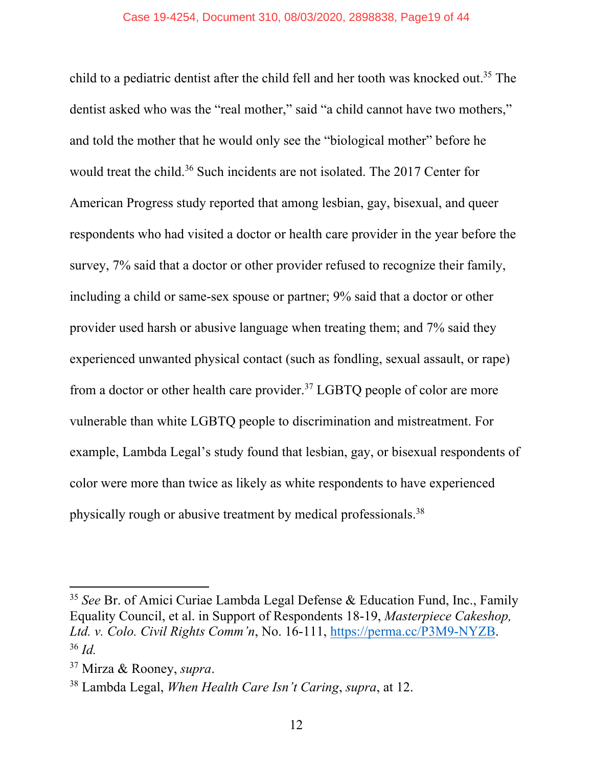child to a pediatric dentist after the child fell and her tooth was knocked out.<sup>35</sup> The dentist asked who was the "real mother," said "a child cannot have two mothers," and told the mother that he would only see the "biological mother" before he would treat the child.<sup>36</sup> Such incidents are not isolated. The 2017 Center for American Progress study reported that among lesbian, gay, bisexual, and queer respondents who had visited a doctor or health care provider in the year before the survey, 7% said that a doctor or other provider refused to recognize their family, including a child or same-sex spouse or partner; 9% said that a doctor or other provider used harsh or abusive language when treating them; and 7% said they experienced unwanted physical contact (such as fondling, sexual assault, or rape) from a doctor or other health care provider.<sup>37</sup> LGBTQ people of color are more vulnerable than white LGBTQ people to discrimination and mistreatment. For example, Lambda Legal's study found that lesbian, gay, or bisexual respondents of color were more than twice as likely as white respondents to have experienced physically rough or abusive treatment by medical professionals.38

<sup>35</sup> *See* Br. of Amici Curiae Lambda Legal Defense & Education Fund, Inc., Family Equality Council, et al. in Support of Respondents 18-19, *Masterpiece Cakeshop, Ltd. v. Colo. Civil Rights Comm'n*, No. 16-111, https://perma.cc/P3M9-NYZB. <sup>36</sup> *Id.*

<sup>37</sup> Mirza & Rooney, *supra*.

<sup>38</sup> Lambda Legal, *When Health Care Isn't Caring*, *supra*, at 12.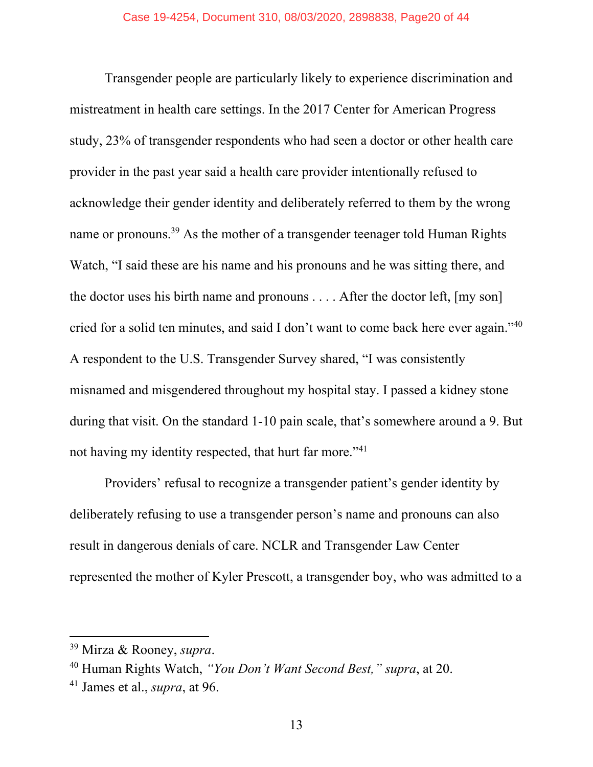Transgender people are particularly likely to experience discrimination and mistreatment in health care settings. In the 2017 Center for American Progress study, 23% of transgender respondents who had seen a doctor or other health care provider in the past year said a health care provider intentionally refused to acknowledge their gender identity and deliberately referred to them by the wrong name or pronouns.<sup>39</sup> As the mother of a transgender teenager told Human Rights Watch, "I said these are his name and his pronouns and he was sitting there, and the doctor uses his birth name and pronouns . . . . After the doctor left, [my son] cried for a solid ten minutes, and said I don't want to come back here ever again."40 A respondent to the U.S. Transgender Survey shared, "I was consistently misnamed and misgendered throughout my hospital stay. I passed a kidney stone during that visit. On the standard 1-10 pain scale, that's somewhere around a 9. But not having my identity respected, that hurt far more."41

Providers' refusal to recognize a transgender patient's gender identity by deliberately refusing to use a transgender person's name and pronouns can also result in dangerous denials of care. NCLR and Transgender Law Center represented the mother of Kyler Prescott, a transgender boy, who was admitted to a

<sup>39</sup> Mirza & Rooney, *supra*.

<sup>40</sup> Human Rights Watch, *"You Don't Want Second Best," supra*, at 20.

<sup>41</sup> James et al., *supra*, at 96.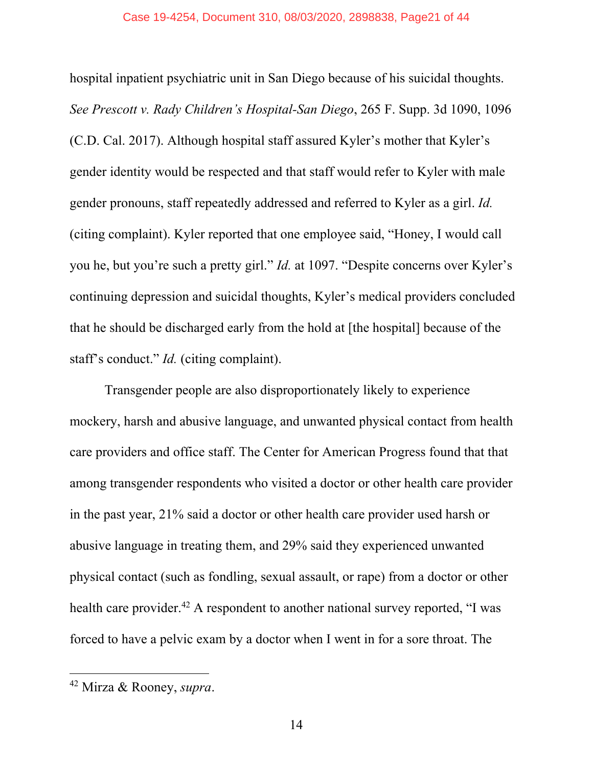#### Case 19-4254, Document 310, 08/03/2020, 2898838, Page21 of 44

hospital inpatient psychiatric unit in San Diego because of his suicidal thoughts. *See Prescott v. Rady Children's Hospital-San Diego*, 265 F. Supp. 3d 1090, 1096 (C.D. Cal. 2017). Although hospital staff assured Kyler's mother that Kyler's gender identity would be respected and that staff would refer to Kyler with male gender pronouns, staff repeatedly addressed and referred to Kyler as a girl. *Id.*  (citing complaint). Kyler reported that one employee said, "Honey, I would call you he, but you're such a pretty girl." *Id.* at 1097. "Despite concerns over Kyler's continuing depression and suicidal thoughts, Kyler's medical providers concluded that he should be discharged early from the hold at [the hospital] because of the staff's conduct." *Id.* (citing complaint).

Transgender people are also disproportionately likely to experience mockery, harsh and abusive language, and unwanted physical contact from health care providers and office staff. The Center for American Progress found that that among transgender respondents who visited a doctor or other health care provider in the past year, 21% said a doctor or other health care provider used harsh or abusive language in treating them, and 29% said they experienced unwanted physical contact (such as fondling, sexual assault, or rape) from a doctor or other health care provider.<sup>42</sup> A respondent to another national survey reported, "I was forced to have a pelvic exam by a doctor when I went in for a sore throat. The

<sup>42</sup> Mirza & Rooney, *supra*.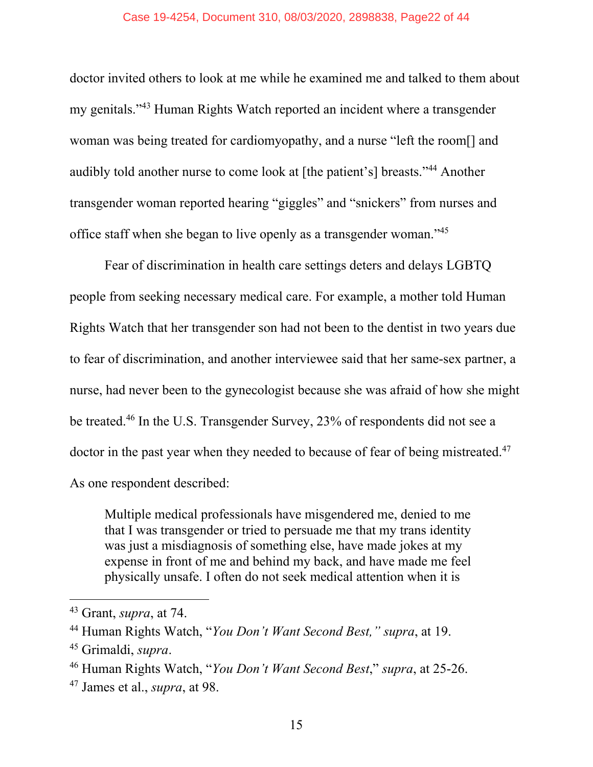#### Case 19-4254, Document 310, 08/03/2020, 2898838, Page22 of 44

doctor invited others to look at me while he examined me and talked to them about my genitals."43 Human Rights Watch reported an incident where a transgender woman was being treated for cardiomyopathy, and a nurse "left the room[] and audibly told another nurse to come look at [the patient's] breasts."44 Another transgender woman reported hearing "giggles" and "snickers" from nurses and office staff when she began to live openly as a transgender woman."45

Fear of discrimination in health care settings deters and delays LGBTQ people from seeking necessary medical care. For example, a mother told Human Rights Watch that her transgender son had not been to the dentist in two years due to fear of discrimination, and another interviewee said that her same-sex partner, a nurse, had never been to the gynecologist because she was afraid of how she might be treated.46 In the U.S. Transgender Survey, 23% of respondents did not see a doctor in the past year when they needed to because of fear of being mistreated.<sup>47</sup> As one respondent described:

Multiple medical professionals have misgendered me, denied to me that I was transgender or tried to persuade me that my trans identity was just a misdiagnosis of something else, have made jokes at my expense in front of me and behind my back, and have made me feel physically unsafe. I often do not seek medical attention when it is

<sup>43</sup> Grant, *supra*, at 74.

<sup>44</sup> Human Rights Watch, "*You Don't Want Second Best," supra*, at 19.

<sup>45</sup> Grimaldi, *supra*.

<sup>46</sup> Human Rights Watch, "*You Don't Want Second Best*," *supra*, at 25-26.

<sup>47</sup> James et al., *supra*, at 98.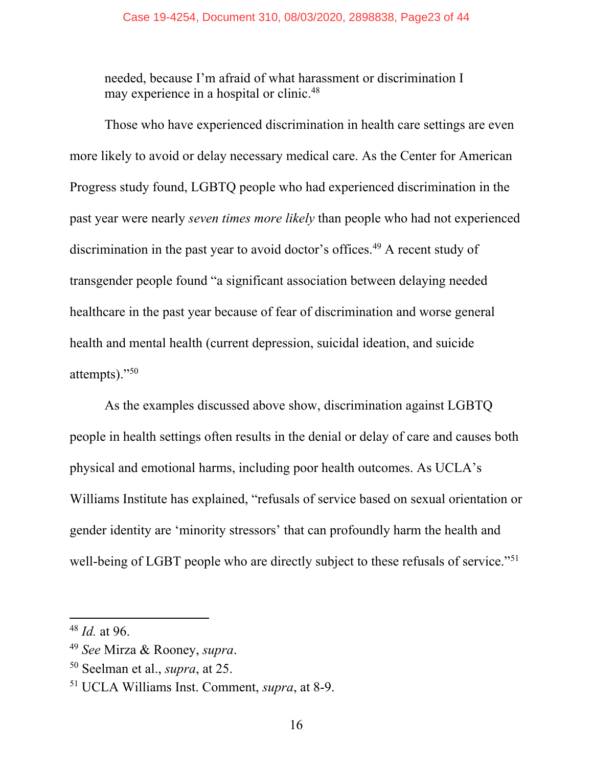needed, because I'm afraid of what harassment or discrimination I may experience in a hospital or clinic.<sup>48</sup>

Those who have experienced discrimination in health care settings are even more likely to avoid or delay necessary medical care. As the Center for American Progress study found, LGBTQ people who had experienced discrimination in the past year were nearly *seven times more likely* than people who had not experienced discrimination in the past year to avoid doctor's offices.<sup>49</sup> A recent study of transgender people found "a significant association between delaying needed healthcare in the past year because of fear of discrimination and worse general health and mental health (current depression, suicidal ideation, and suicide attempts)."50

As the examples discussed above show, discrimination against LGBTQ people in health settings often results in the denial or delay of care and causes both physical and emotional harms, including poor health outcomes. As UCLA's Williams Institute has explained, "refusals of service based on sexual orientation or gender identity are 'minority stressors' that can profoundly harm the health and well-being of LGBT people who are directly subject to these refusals of service."<sup>51</sup>

<sup>48</sup> *Id.* at 96.

<sup>49</sup> *See* Mirza & Rooney, *supra*.

<sup>50</sup> Seelman et al., *supra*, at 25.

<sup>51</sup> UCLA Williams Inst. Comment, *supra*, at 8-9.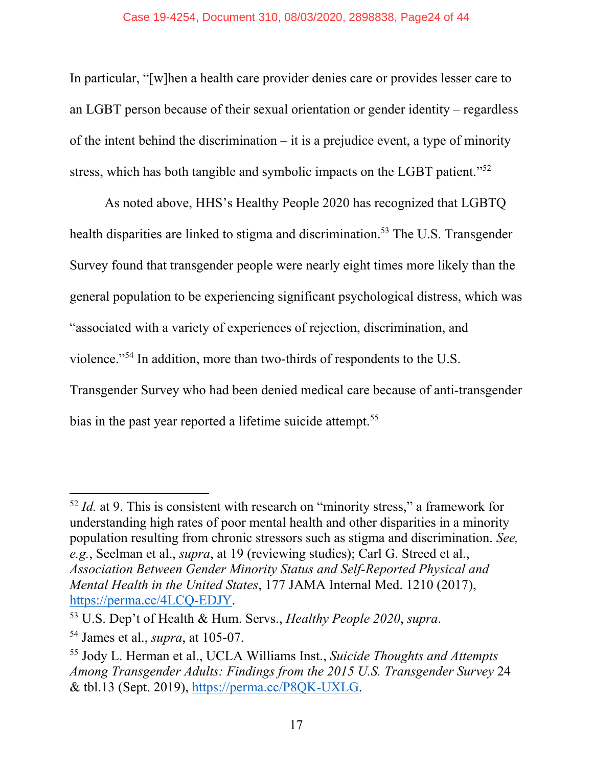#### Case 19-4254, Document 310, 08/03/2020, 2898838, Page24 of 44

In particular, "[w]hen a health care provider denies care or provides lesser care to an LGBT person because of their sexual orientation or gender identity – regardless of the intent behind the discrimination – it is a prejudice event, a type of minority stress, which has both tangible and symbolic impacts on the LGBT patient."<sup>52</sup>

As noted above, HHS's Healthy People 2020 has recognized that LGBTQ health disparities are linked to stigma and discrimination.<sup>53</sup> The U.S. Transgender Survey found that transgender people were nearly eight times more likely than the general population to be experiencing significant psychological distress, which was "associated with a variety of experiences of rejection, discrimination, and violence."54 In addition, more than two-thirds of respondents to the U.S. Transgender Survey who had been denied medical care because of anti-transgender bias in the past year reported a lifetime suicide attempt.<sup>55</sup>

<sup>52</sup> *Id.* at 9. This is consistent with research on "minority stress," a framework for understanding high rates of poor mental health and other disparities in a minority population resulting from chronic stressors such as stigma and discrimination. *See, e.g.*, Seelman et al., *supra*, at 19 (reviewing studies); Carl G. Streed et al., *Association Between Gender Minority Status and Self-Reported Physical and Mental Health in the United States*, 177 JAMA Internal Med. 1210 (2017), https://perma.cc/4LCQ-EDJY.

<sup>53</sup> U.S. Dep't of Health & Hum. Servs., *Healthy People 2020*, *supra*.

<sup>54</sup> James et al., *supra*, at 105-07.

<sup>55</sup> Jody L. Herman et al., UCLA Williams Inst., *Suicide Thoughts and Attempts Among Transgender Adults: Findings from the 2015 U.S. Transgender Survey* 24 & tbl.13 (Sept. 2019), https://perma.cc/P8QK-UXLG.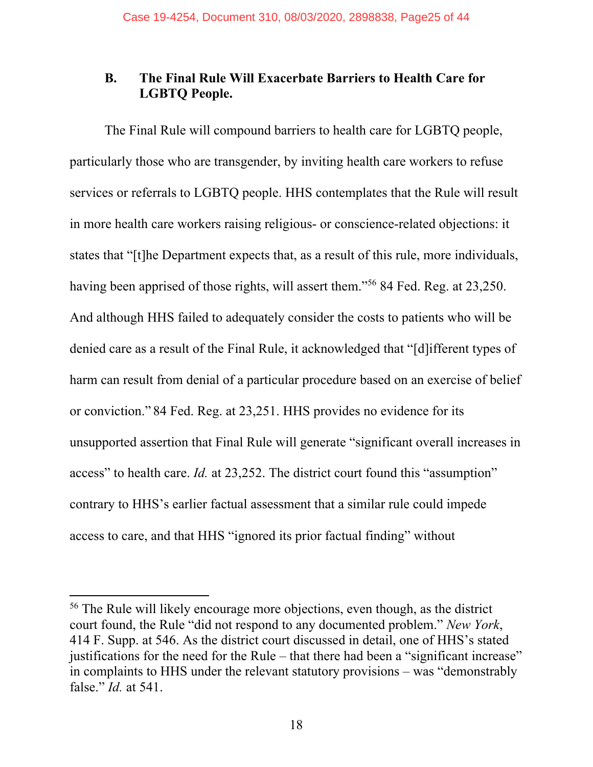### **B. The Final Rule Will Exacerbate Barriers to Health Care for LGBTQ People.**

The Final Rule will compound barriers to health care for LGBTQ people, particularly those who are transgender, by inviting health care workers to refuse services or referrals to LGBTQ people. HHS contemplates that the Rule will result in more health care workers raising religious- or conscience-related objections: it states that "[t]he Department expects that, as a result of this rule, more individuals, having been apprised of those rights, will assert them."56 84 Fed. Reg. at 23,250. And although HHS failed to adequately consider the costs to patients who will be denied care as a result of the Final Rule, it acknowledged that "[d]ifferent types of harm can result from denial of a particular procedure based on an exercise of belief or conviction." 84 Fed. Reg. at 23,251. HHS provides no evidence for its unsupported assertion that Final Rule will generate "significant overall increases in access" to health care. *Id.* at 23,252. The district court found this "assumption" contrary to HHS's earlier factual assessment that a similar rule could impede access to care, and that HHS "ignored its prior factual finding" without

<sup>&</sup>lt;sup>56</sup> The Rule will likely encourage more objections, even though, as the district court found, the Rule "did not respond to any documented problem." *New York*, 414 F. Supp. at 546. As the district court discussed in detail, one of HHS's stated justifications for the need for the Rule – that there had been a "significant increase" in complaints to HHS under the relevant statutory provisions – was "demonstrably false." *Id.* at 541.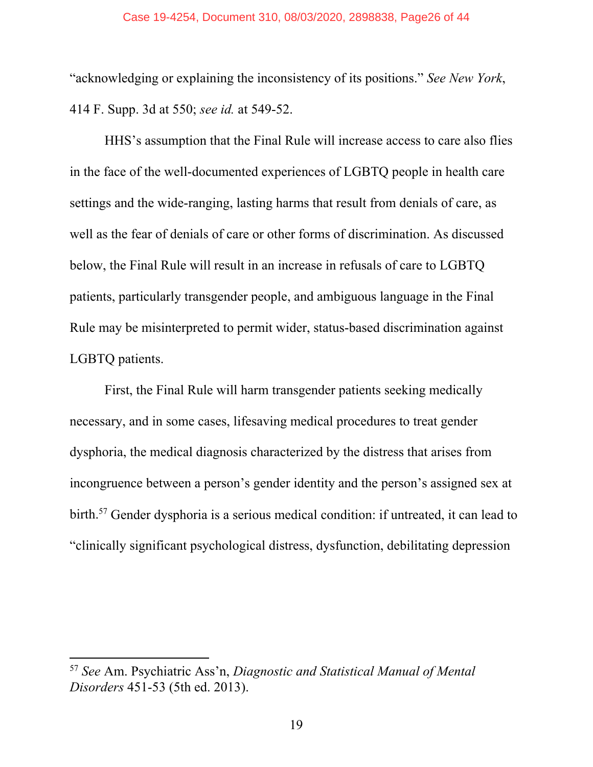#### Case 19-4254, Document 310, 08/03/2020, 2898838, Page26 of 44

"acknowledging or explaining the inconsistency of its positions." *See New York*, 414 F. Supp. 3d at 550; *see id.* at 549-52.

HHS's assumption that the Final Rule will increase access to care also flies in the face of the well-documented experiences of LGBTQ people in health care settings and the wide-ranging, lasting harms that result from denials of care, as well as the fear of denials of care or other forms of discrimination. As discussed below, the Final Rule will result in an increase in refusals of care to LGBTQ patients, particularly transgender people, and ambiguous language in the Final Rule may be misinterpreted to permit wider, status-based discrimination against LGBTQ patients.

First, the Final Rule will harm transgender patients seeking medically necessary, and in some cases, lifesaving medical procedures to treat gender dysphoria, the medical diagnosis characterized by the distress that arises from incongruence between a person's gender identity and the person's assigned sex at birth.57 Gender dysphoria is a serious medical condition: if untreated, it can lead to "clinically significant psychological distress, dysfunction, debilitating depression

<sup>57</sup> *See* Am. Psychiatric Ass'n, *Diagnostic and Statistical Manual of Mental Disorders* 451-53 (5th ed. 2013).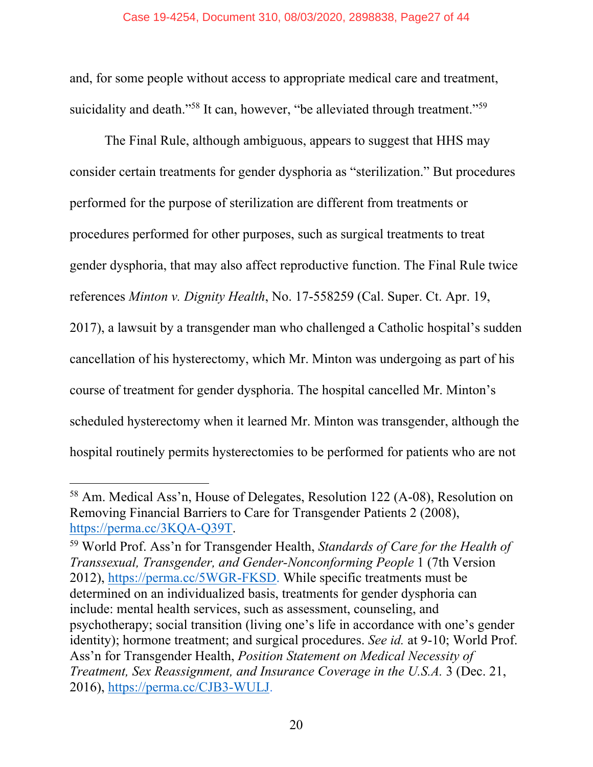and, for some people without access to appropriate medical care and treatment, suicidality and death."<sup>58</sup> It can, however, "be alleviated through treatment."<sup>59</sup>

The Final Rule, although ambiguous, appears to suggest that HHS may consider certain treatments for gender dysphoria as "sterilization." But procedures performed for the purpose of sterilization are different from treatments or procedures performed for other purposes, such as surgical treatments to treat gender dysphoria, that may also affect reproductive function. The Final Rule twice references *Minton v. Dignity Health*, No. 17-558259 (Cal. Super. Ct. Apr. 19, 2017), a lawsuit by a transgender man who challenged a Catholic hospital's sudden cancellation of his hysterectomy, which Mr. Minton was undergoing as part of his course of treatment for gender dysphoria. The hospital cancelled Mr. Minton's scheduled hysterectomy when it learned Mr. Minton was transgender, although the hospital routinely permits hysterectomies to be performed for patients who are not

<sup>58</sup> Am. Medical Ass'n, House of Delegates, Resolution 122 (A-08), Resolution on Removing Financial Barriers to Care for Transgender Patients 2 (2008), https://perma.cc/3KQA-Q39T.

<sup>59</sup> World Prof. Ass'n for Transgender Health, *Standards of Care for the Health of Transsexual, Transgender, and Gender-Nonconforming People* 1 (7th Version 2012), https://perma.cc/5WGR-FKSD. While specific treatments must be determined on an individualized basis, treatments for gender dysphoria can include: mental health services, such as assessment, counseling, and psychotherapy; social transition (living one's life in accordance with one's gender identity); hormone treatment; and surgical procedures. *See id.* at 9-10; World Prof. Ass'n for Transgender Health, *Position Statement on Medical Necessity of Treatment, Sex Reassignment, and Insurance Coverage in the U.S.A.* 3 (Dec. 21, 2016), https://perma.cc/CJB3-WULJ.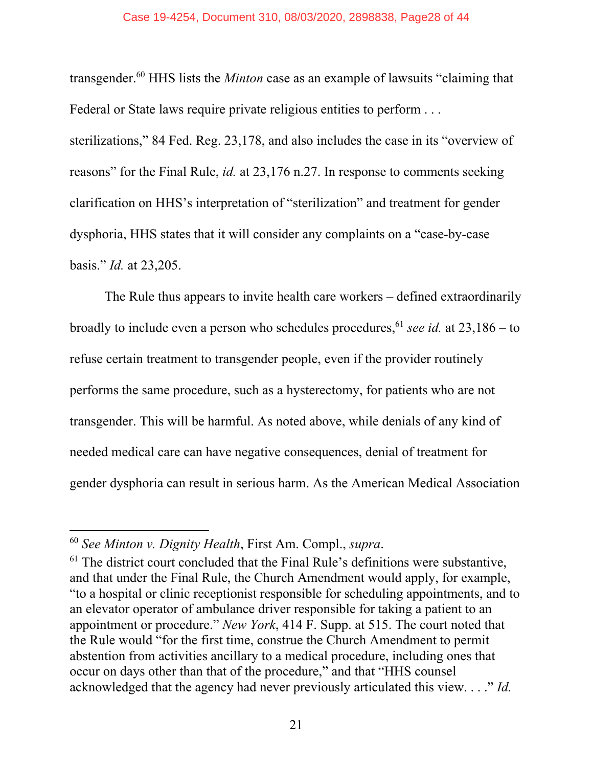#### Case 19-4254, Document 310, 08/03/2020, 2898838, Page28 of 44

transgender.60 HHS lists the *Minton* case as an example of lawsuits "claiming that Federal or State laws require private religious entities to perform . . .

sterilizations," 84 Fed. Reg. 23,178, and also includes the case in its "overview of reasons" for the Final Rule, *id.* at 23,176 n.27. In response to comments seeking clarification on HHS's interpretation of "sterilization" and treatment for gender dysphoria, HHS states that it will consider any complaints on a "case-by-case basis." *Id.* at 23,205.

The Rule thus appears to invite health care workers – defined extraordinarily broadly to include even a person who schedules procedures, <sup>61</sup> *see id.* at  $23,186 -$  to refuse certain treatment to transgender people, even if the provider routinely performs the same procedure, such as a hysterectomy, for patients who are not transgender. This will be harmful. As noted above, while denials of any kind of needed medical care can have negative consequences, denial of treatment for gender dysphoria can result in serious harm. As the American Medical Association

<sup>60</sup> *See Minton v. Dignity Health*, First Am. Compl., *supra*.

 $61$  The district court concluded that the Final Rule's definitions were substantive, and that under the Final Rule, the Church Amendment would apply, for example, "to a hospital or clinic receptionist responsible for scheduling appointments, and to an elevator operator of ambulance driver responsible for taking a patient to an appointment or procedure." *New York*, 414 F. Supp. at 515. The court noted that the Rule would "for the first time, construe the Church Amendment to permit abstention from activities ancillary to a medical procedure, including ones that occur on days other than that of the procedure," and that "HHS counsel acknowledged that the agency had never previously articulated this view. . . ." *Id.*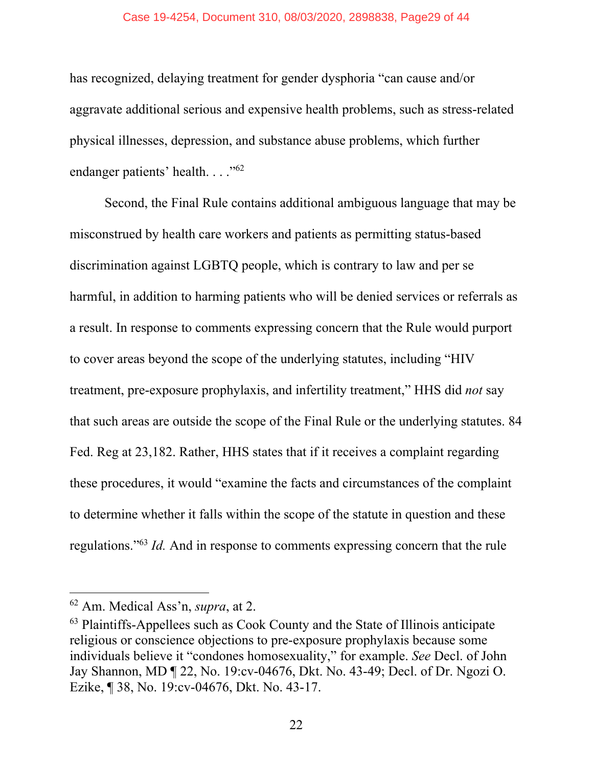#### Case 19-4254, Document 310, 08/03/2020, 2898838, Page29 of 44

has recognized, delaying treatment for gender dysphoria "can cause and/or aggravate additional serious and expensive health problems, such as stress-related physical illnesses, depression, and substance abuse problems, which further endanger patients' health. . . . "<sup>62</sup>

Second, the Final Rule contains additional ambiguous language that may be misconstrued by health care workers and patients as permitting status-based discrimination against LGBTQ people, which is contrary to law and per se harmful, in addition to harming patients who will be denied services or referrals as a result. In response to comments expressing concern that the Rule would purport to cover areas beyond the scope of the underlying statutes, including "HIV treatment, pre-exposure prophylaxis, and infertility treatment," HHS did *not* say that such areas are outside the scope of the Final Rule or the underlying statutes. 84 Fed. Reg at 23,182. Rather, HHS states that if it receives a complaint regarding these procedures, it would "examine the facts and circumstances of the complaint to determine whether it falls within the scope of the statute in question and these regulations."63 *Id.* And in response to comments expressing concern that the rule

<sup>62</sup> Am. Medical Ass'n, *supra*, at 2.

<sup>63</sup> Plaintiffs-Appellees such as Cook County and the State of Illinois anticipate religious or conscience objections to pre-exposure prophylaxis because some individuals believe it "condones homosexuality," for example. *See* Decl. of John Jay Shannon, MD ¶ 22, No. 19:cv-04676, Dkt. No. 43-49; Decl. of Dr. Ngozi O. Ezike, ¶ 38, No. 19:cv-04676, Dkt. No. 43-17.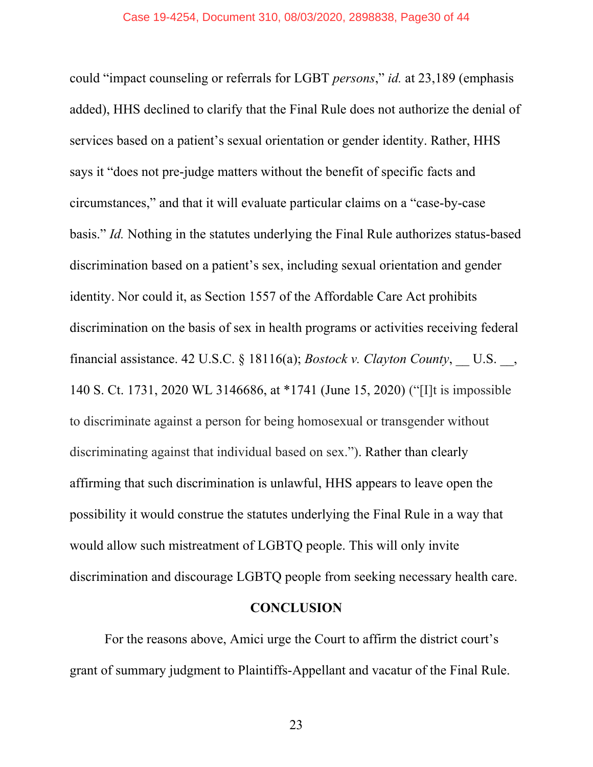could "impact counseling or referrals for LGBT *persons*," *id.* at 23,189 (emphasis added), HHS declined to clarify that the Final Rule does not authorize the denial of services based on a patient's sexual orientation or gender identity. Rather, HHS says it "does not pre-judge matters without the benefit of specific facts and circumstances," and that it will evaluate particular claims on a "case-by-case basis." *Id.* Nothing in the statutes underlying the Final Rule authorizes status-based discrimination based on a patient's sex, including sexual orientation and gender identity. Nor could it, as Section 1557 of the Affordable Care Act prohibits discrimination on the basis of sex in health programs or activities receiving federal financial assistance. 42 U.S.C. § 18116(a); *Bostock v. Clayton County*, \_\_ U.S. \_\_, 140 S. Ct. 1731, 2020 WL 3146686, at \*1741 (June 15, 2020) ("[I]t is impossible to discriminate against a person for being homosexual or transgender without discriminating against that individual based on sex."). Rather than clearly affirming that such discrimination is unlawful, HHS appears to leave open the possibility it would construe the statutes underlying the Final Rule in a way that would allow such mistreatment of LGBTQ people. This will only invite discrimination and discourage LGBTQ people from seeking necessary health care.

#### **CONCLUSION**

For the reasons above, Amici urge the Court to affirm the district court's grant of summary judgment to Plaintiffs-Appellant and vacatur of the Final Rule.

23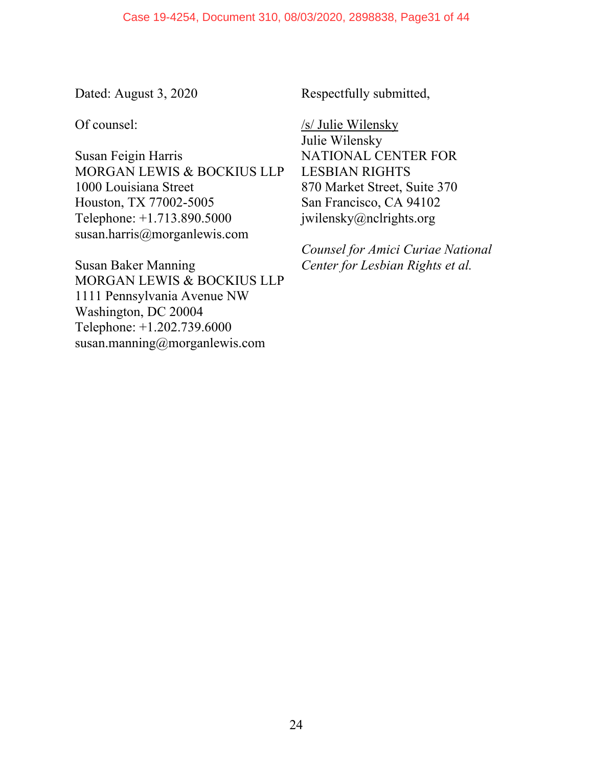Dated: August 3, 2020

Of counsel:

Susan Feigin Harris MORGAN LEWIS & BOCKIUS LLP 1000 Louisiana Street Houston, TX 77002-5005 Telephone: +1.713.890.5000 susan.harris@morganlewis.com

Susan Baker Manning MORGAN LEWIS & BOCKIUS LLP 1111 Pennsylvania Avenue NW Washington, DC 20004 Telephone: +1.202.739.6000 susan.manning@morganlewis.com

Respectfully submitted,

/s/ Julie Wilensky Julie Wilensky NATIONAL CENTER FOR LESBIAN RIGHTS 870 Market Street, Suite 370 San Francisco, CA 94102 jwilensky@nclrights.org

*Counsel for Amici Curiae National Center for Lesbian Rights et al.*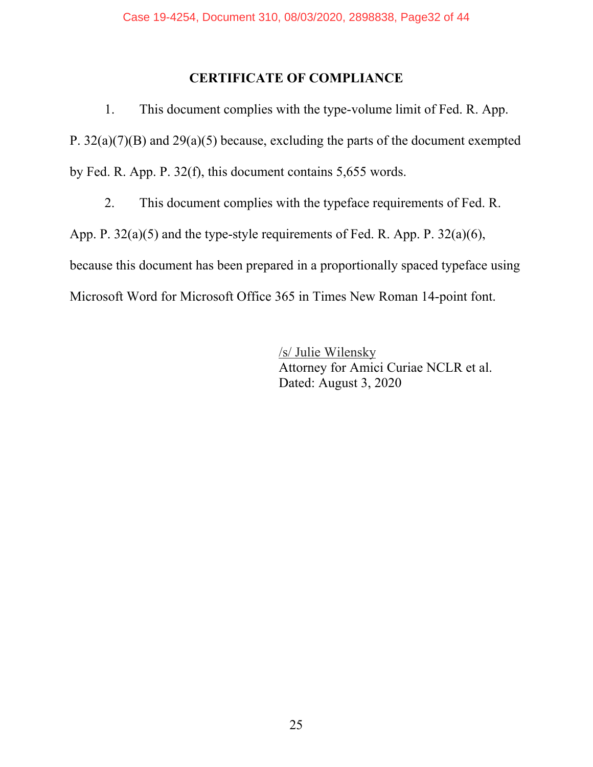# **CERTIFICATE OF COMPLIANCE**

1. This document complies with the type-volume limit of Fed. R. App. P. 32(a)(7)(B) and 29(a)(5) because, excluding the parts of the document exempted by Fed. R. App. P. 32(f), this document contains 5,655 words.

2. This document complies with the typeface requirements of Fed. R.

App. P. 32(a)(5) and the type-style requirements of Fed. R. App. P. 32(a)(6),

because this document has been prepared in a proportionally spaced typeface using

Microsoft Word for Microsoft Office 365 in Times New Roman 14-point font.

/s/ Julie Wilensky Attorney for Amici Curiae NCLR et al. Dated: August 3, 2020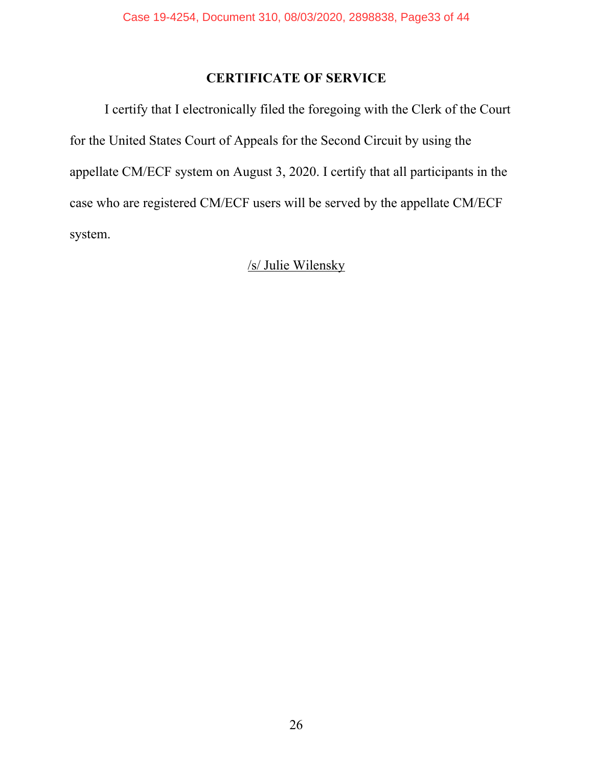# **CERTIFICATE OF SERVICE**

I certify that I electronically filed the foregoing with the Clerk of the Court for the United States Court of Appeals for the Second Circuit by using the appellate CM/ECF system on August 3, 2020. I certify that all participants in the case who are registered CM/ECF users will be served by the appellate CM/ECF system.

# /s/ Julie Wilensky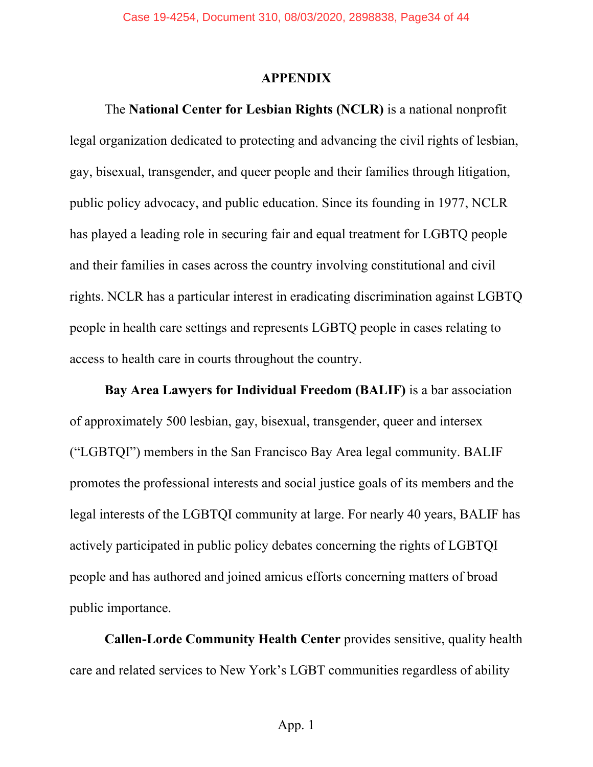#### **APPENDIX**

The **National Center for Lesbian Rights (NCLR)** is a national nonprofit legal organization dedicated to protecting and advancing the civil rights of lesbian, gay, bisexual, transgender, and queer people and their families through litigation, public policy advocacy, and public education. Since its founding in 1977, NCLR has played a leading role in securing fair and equal treatment for LGBTQ people and their families in cases across the country involving constitutional and civil rights. NCLR has a particular interest in eradicating discrimination against LGBTQ people in health care settings and represents LGBTQ people in cases relating to access to health care in courts throughout the country.

**Bay Area Lawyers for Individual Freedom (BALIF)** is a bar association of approximately 500 lesbian, gay, bisexual, transgender, queer and intersex ("LGBTQI") members in the San Francisco Bay Area legal community. BALIF promotes the professional interests and social justice goals of its members and the legal interests of the LGBTQI community at large. For nearly 40 years, BALIF has actively participated in public policy debates concerning the rights of LGBTQI people and has authored and joined amicus efforts concerning matters of broad public importance.

**Callen-Lorde Community Health Center** provides sensitive, quality health care and related services to New York's LGBT communities regardless of ability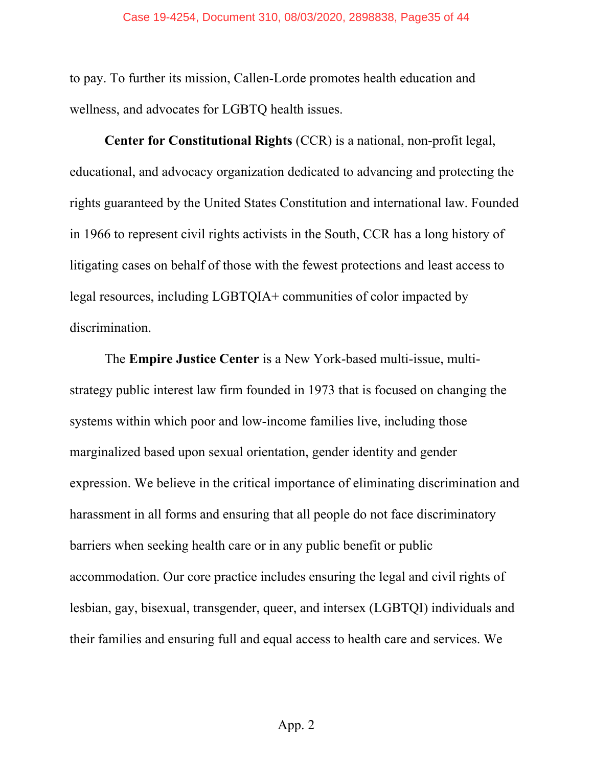to pay. To further its mission, Callen-Lorde promotes health education and wellness, and advocates for LGBTQ health issues.

**Center for Constitutional Rights** (CCR) is a national, non-profit legal, educational, and advocacy organization dedicated to advancing and protecting the rights guaranteed by the United States Constitution and international law. Founded in 1966 to represent civil rights activists in the South, CCR has a long history of litigating cases on behalf of those with the fewest protections and least access to legal resources, including LGBTQIA+ communities of color impacted by discrimination.

The **Empire Justice Center** is a New York-based multi-issue, multistrategy public interest law firm founded in 1973 that is focused on changing the systems within which poor and low-income families live, including those marginalized based upon sexual orientation, gender identity and gender expression. We believe in the critical importance of eliminating discrimination and harassment in all forms and ensuring that all people do not face discriminatory barriers when seeking health care or in any public benefit or public accommodation. Our core practice includes ensuring the legal and civil rights of lesbian, gay, bisexual, transgender, queer, and intersex (LGBTQI) individuals and their families and ensuring full and equal access to health care and services. We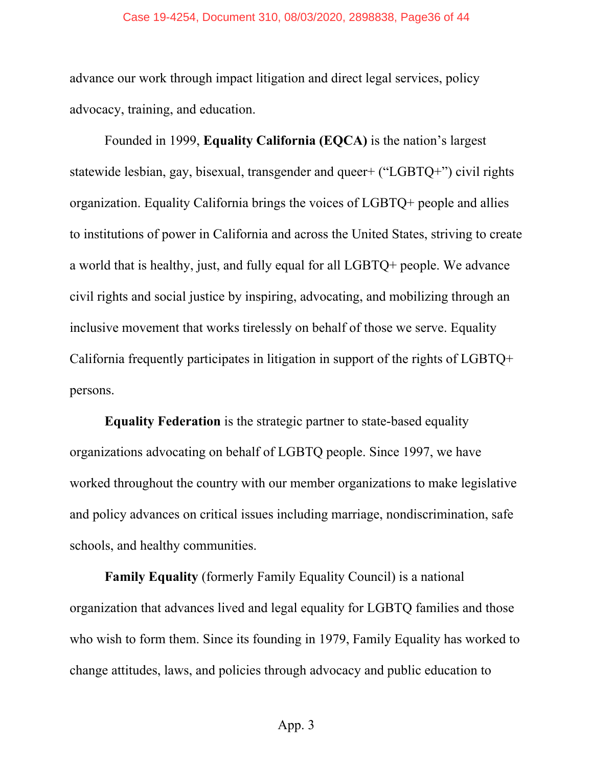#### Case 19-4254, Document 310, 08/03/2020, 2898838, Page36 of 44

advance our work through impact litigation and direct legal services, policy advocacy, training, and education.

Founded in 1999, **Equality California (EQCA)** is the nation's largest statewide lesbian, gay, bisexual, transgender and queer+ ("LGBTQ+") civil rights organization. Equality California brings the voices of LGBTQ+ people and allies to institutions of power in California and across the United States, striving to create a world that is healthy, just, and fully equal for all LGBTQ+ people. We advance civil rights and social justice by inspiring, advocating, and mobilizing through an inclusive movement that works tirelessly on behalf of those we serve. Equality California frequently participates in litigation in support of the rights of LGBTQ+ persons.

**Equality Federation** is the strategic partner to state-based equality organizations advocating on behalf of LGBTQ people. Since 1997, we have worked throughout the country with our member organizations to make legislative and policy advances on critical issues including marriage, nondiscrimination, safe schools, and healthy communities.

**Family Equality** (formerly Family Equality Council) is a national organization that advances lived and legal equality for LGBTQ families and those who wish to form them. Since its founding in 1979, Family Equality has worked to change attitudes, laws, and policies through advocacy and public education to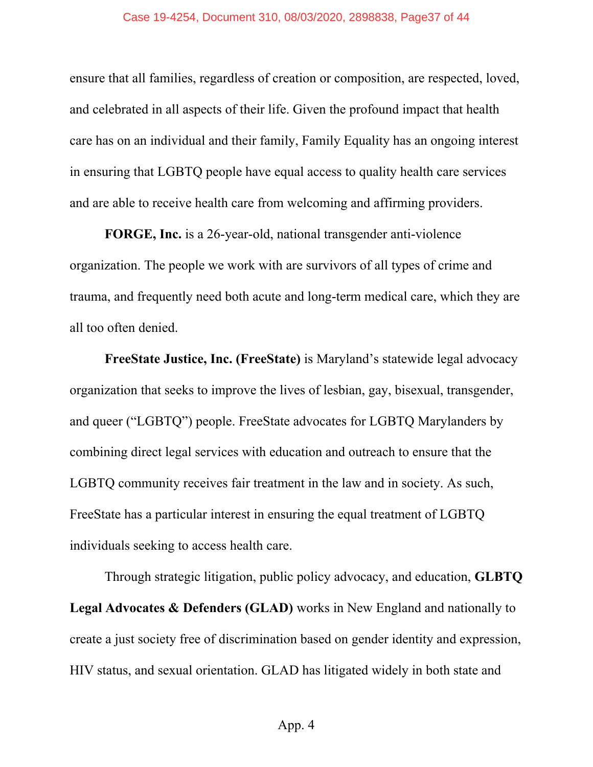#### Case 19-4254, Document 310, 08/03/2020, 2898838, Page37 of 44

ensure that all families, regardless of creation or composition, are respected, loved, and celebrated in all aspects of their life. Given the profound impact that health care has on an individual and their family, Family Equality has an ongoing interest in ensuring that LGBTQ people have equal access to quality health care services and are able to receive health care from welcoming and affirming providers.

**FORGE, Inc.** is a 26-year-old, national transgender anti-violence organization. The people we work with are survivors of all types of crime and trauma, and frequently need both acute and long-term medical care, which they are all too often denied.

**FreeState Justice, Inc. (FreeState)** is Maryland's statewide legal advocacy organization that seeks to improve the lives of lesbian, gay, bisexual, transgender, and queer ("LGBTQ") people. FreeState advocates for LGBTQ Marylanders by combining direct legal services with education and outreach to ensure that the LGBTQ community receives fair treatment in the law and in society. As such, FreeState has a particular interest in ensuring the equal treatment of LGBTQ individuals seeking to access health care.

Through strategic litigation, public policy advocacy, and education, **GLBTQ Legal Advocates & Defenders (GLAD)** works in New England and nationally to create a just society free of discrimination based on gender identity and expression, HIV status, and sexual orientation. GLAD has litigated widely in both state and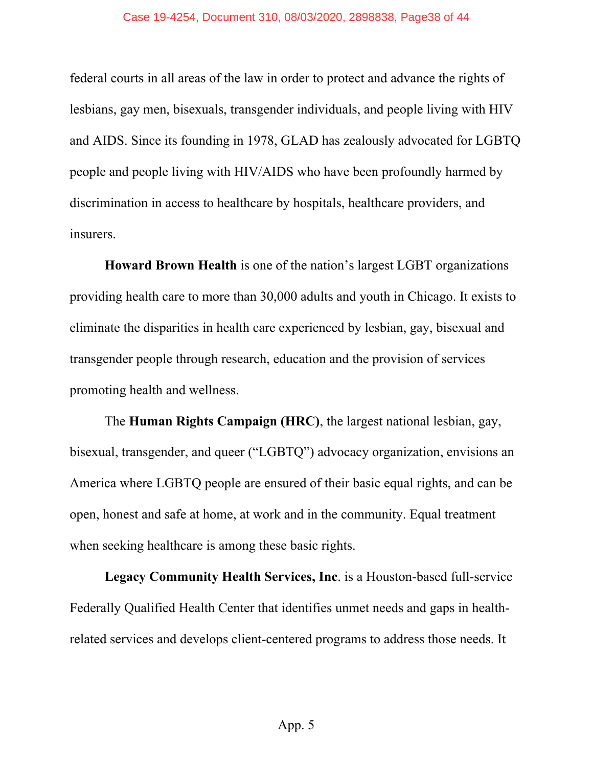#### Case 19-4254, Document 310, 08/03/2020, 2898838, Page38 of 44

federal courts in all areas of the law in order to protect and advance the rights of lesbians, gay men, bisexuals, transgender individuals, and people living with HIV and AIDS. Since its founding in 1978, GLAD has zealously advocated for LGBTQ people and people living with HIV/AIDS who have been profoundly harmed by discrimination in access to healthcare by hospitals, healthcare providers, and insurers.

**Howard Brown Health** is one of the nation's largest LGBT organizations providing health care to more than 30,000 adults and youth in Chicago. It exists to eliminate the disparities in health care experienced by lesbian, gay, bisexual and transgender people through research, education and the provision of services promoting health and wellness.

The **Human Rights Campaign (HRC)**, the largest national lesbian, gay, bisexual, transgender, and queer ("LGBTQ") advocacy organization, envisions an America where LGBTQ people are ensured of their basic equal rights, and can be open, honest and safe at home, at work and in the community. Equal treatment when seeking healthcare is among these basic rights.

**Legacy Community Health Services, Inc**. is a Houston-based full-service Federally Qualified Health Center that identifies unmet needs and gaps in healthrelated services and develops client-centered programs to address those needs. It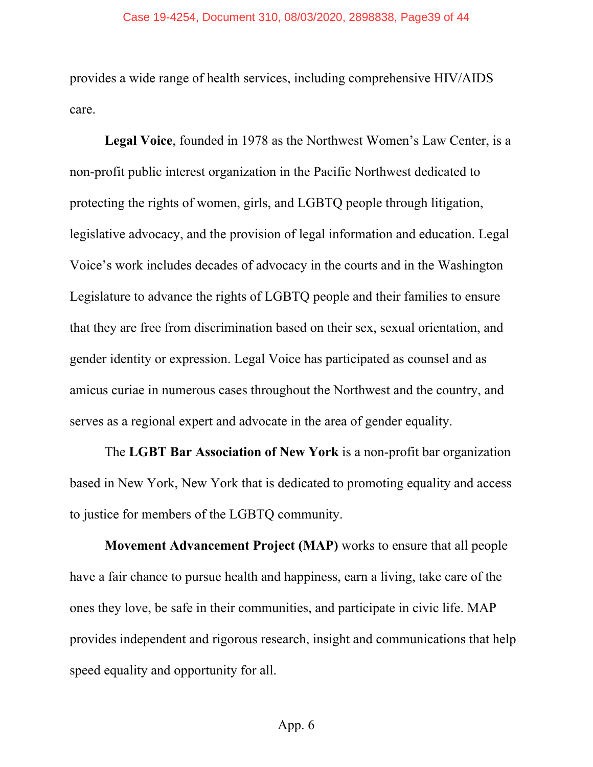#### Case 19-4254, Document 310, 08/03/2020, 2898838, Page39 of 44

provides a wide range of health services, including comprehensive HIV/AIDS care.

**Legal Voice**, founded in 1978 as the Northwest Women's Law Center, is a non-profit public interest organization in the Pacific Northwest dedicated to protecting the rights of women, girls, and LGBTQ people through litigation, legislative advocacy, and the provision of legal information and education. Legal Voice's work includes decades of advocacy in the courts and in the Washington Legislature to advance the rights of LGBTQ people and their families to ensure that they are free from discrimination based on their sex, sexual orientation, and gender identity or expression. Legal Voice has participated as counsel and as amicus curiae in numerous cases throughout the Northwest and the country, and serves as a regional expert and advocate in the area of gender equality.

The **LGBT Bar Association of New York** is a non-profit bar organization based in New York, New York that is dedicated to promoting equality and access to justice for members of the LGBTQ community.

**Movement Advancement Project (MAP)** works to ensure that all people have a fair chance to pursue health and happiness, earn a living, take care of the ones they love, be safe in their communities, and participate in civic life. MAP provides independent and rigorous research, insight and communications that help speed equality and opportunity for all.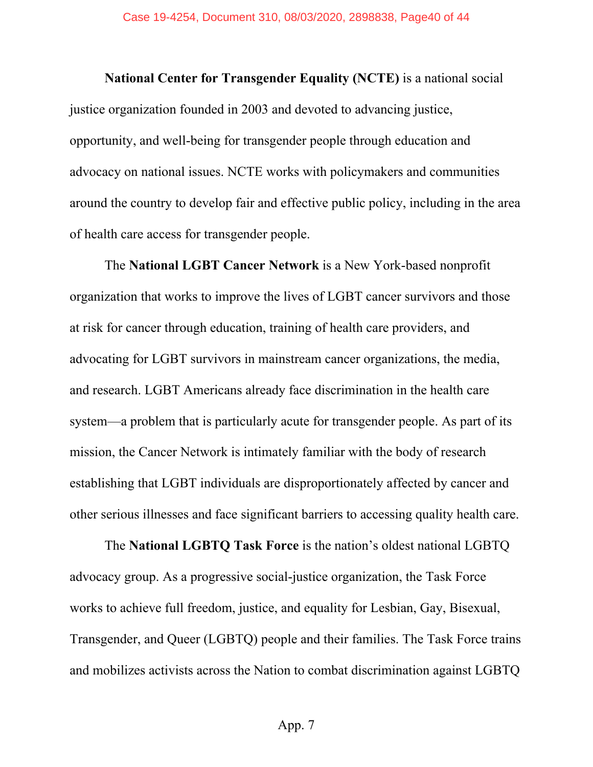**National Center for Transgender Equality (NCTE)** is a national social justice organization founded in 2003 and devoted to advancing justice, opportunity, and well-being for transgender people through education and advocacy on national issues. NCTE works with policymakers and communities around the country to develop fair and effective public policy, including in the area of health care access for transgender people.

The **National LGBT Cancer Network** is a New York-based nonprofit organization that works to improve the lives of LGBT cancer survivors and those at risk for cancer through education, training of health care providers, and advocating for LGBT survivors in mainstream cancer organizations, the media, and research. LGBT Americans already face discrimination in the health care system—a problem that is particularly acute for transgender people. As part of its mission, the Cancer Network is intimately familiar with the body of research establishing that LGBT individuals are disproportionately affected by cancer and other serious illnesses and face significant barriers to accessing quality health care.

The **National LGBTQ Task Force** is the nation's oldest national LGBTQ advocacy group. As a progressive social-justice organization, the Task Force works to achieve full freedom, justice, and equality for Lesbian, Gay, Bisexual, Transgender, and Queer (LGBTQ) people and their families. The Task Force trains and mobilizes activists across the Nation to combat discrimination against LGBTQ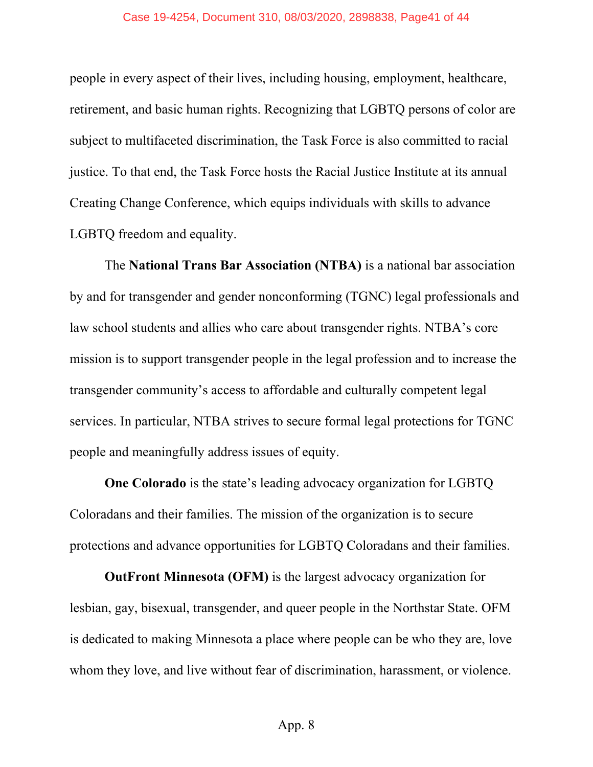people in every aspect of their lives, including housing, employment, healthcare, retirement, and basic human rights. Recognizing that LGBTQ persons of color are subject to multifaceted discrimination, the Task Force is also committed to racial justice. To that end, the Task Force hosts the Racial Justice Institute at its annual Creating Change Conference, which equips individuals with skills to advance LGBTQ freedom and equality.

The **National Trans Bar Association (NTBA)** is a national bar association by and for transgender and gender nonconforming (TGNC) legal professionals and law school students and allies who care about transgender rights. NTBA's core mission is to support transgender people in the legal profession and to increase the transgender community's access to affordable and culturally competent legal services. In particular, NTBA strives to secure formal legal protections for TGNC people and meaningfully address issues of equity.

**One Colorado** is the state's leading advocacy organization for LGBTQ Coloradans and their families. The mission of the organization is to secure protections and advance opportunities for LGBTQ Coloradans and their families.

**OutFront Minnesota (OFM)** is the largest advocacy organization for lesbian, gay, bisexual, transgender, and queer people in the Northstar State. OFM is dedicated to making Minnesota a place where people can be who they are, love whom they love, and live without fear of discrimination, harassment, or violence.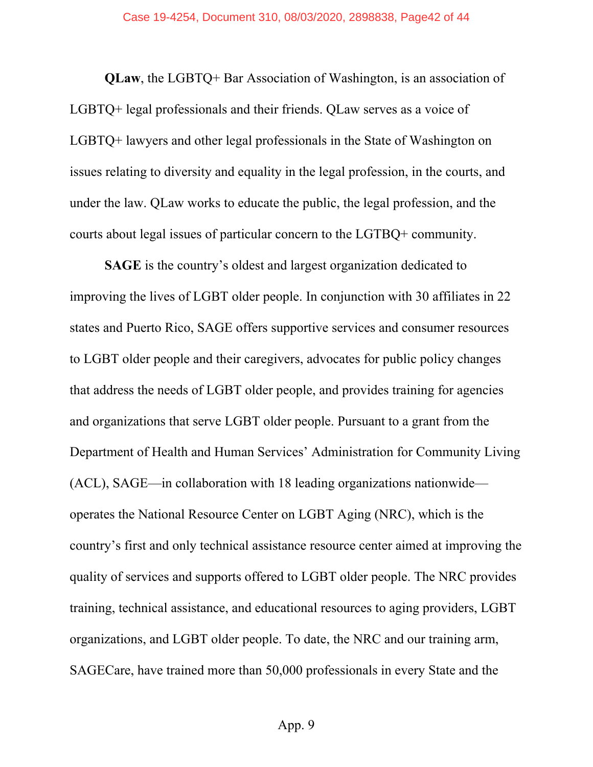**QLaw**, the LGBTQ+ Bar Association of Washington, is an association of LGBTQ+ legal professionals and their friends. QLaw serves as a voice of LGBTQ+ lawyers and other legal professionals in the State of Washington on issues relating to diversity and equality in the legal profession, in the courts, and under the law. QLaw works to educate the public, the legal profession, and the courts about legal issues of particular concern to the LGTBQ+ community.

**SAGE** is the country's oldest and largest organization dedicated to improving the lives of LGBT older people. In conjunction with 30 affiliates in 22 states and Puerto Rico, SAGE offers supportive services and consumer resources to LGBT older people and their caregivers, advocates for public policy changes that address the needs of LGBT older people, and provides training for agencies and organizations that serve LGBT older people. Pursuant to a grant from the Department of Health and Human Services' Administration for Community Living (ACL), SAGE—in collaboration with 18 leading organizations nationwide operates the National Resource Center on LGBT Aging (NRC), which is the country's first and only technical assistance resource center aimed at improving the quality of services and supports offered to LGBT older people. The NRC provides training, technical assistance, and educational resources to aging providers, LGBT organizations, and LGBT older people. To date, the NRC and our training arm, SAGECare, have trained more than 50,000 professionals in every State and the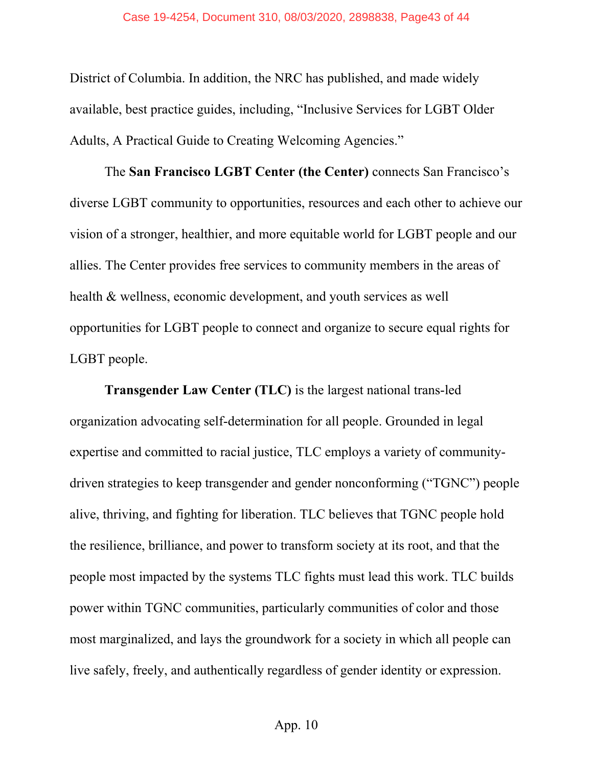District of Columbia. In addition, the NRC has published, and made widely available, best practice guides, including, "Inclusive Services for LGBT Older Adults, A Practical Guide to Creating Welcoming Agencies."

The **San Francisco LGBT Center (the Center)** connects San Francisco's diverse LGBT community to opportunities, resources and each other to achieve our vision of a stronger, healthier, and more equitable world for LGBT people and our allies. The Center provides free services to community members in the areas of health & wellness, economic development, and youth services as well opportunities for LGBT people to connect and organize to secure equal rights for LGBT people.

**Transgender Law Center (TLC)** is the largest national trans-led organization advocating self-determination for all people. Grounded in legal expertise and committed to racial justice, TLC employs a variety of communitydriven strategies to keep transgender and gender nonconforming ("TGNC") people alive, thriving, and fighting for liberation. TLC believes that TGNC people hold the resilience, brilliance, and power to transform society at its root, and that the people most impacted by the systems TLC fights must lead this work. TLC builds power within TGNC communities, particularly communities of color and those most marginalized, and lays the groundwork for a society in which all people can live safely, freely, and authentically regardless of gender identity or expression.